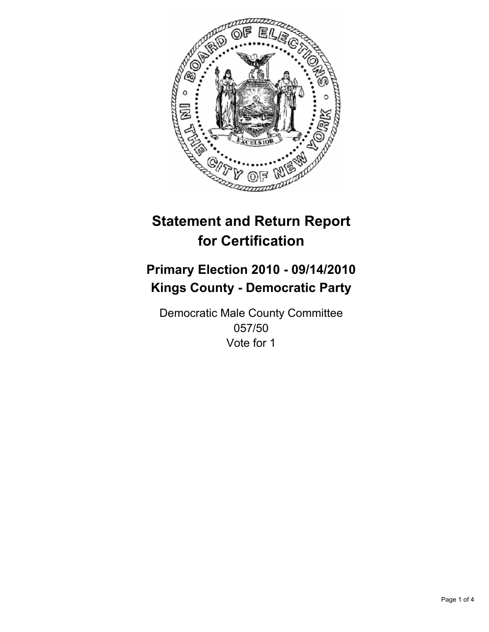

## **Primary Election 2010 - 09/14/2010 Kings County - Democratic Party**

Democratic Male County Committee 057/50 Vote for 1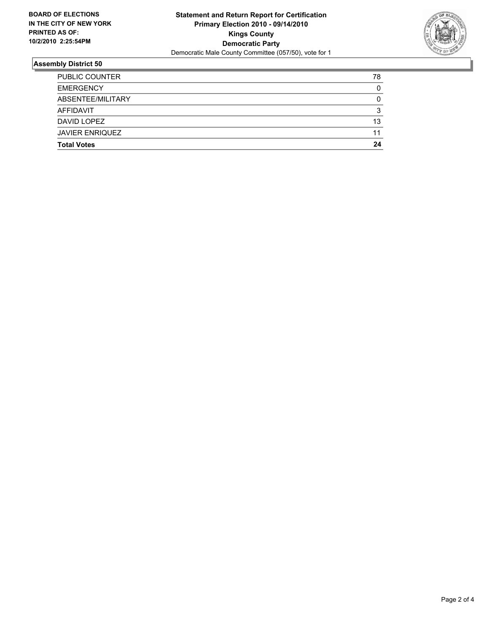

| <b>Total Votes</b>     | 24 |
|------------------------|----|
| <b>JAVIER ENRIQUEZ</b> | 11 |
| DAVID LOPEZ            | 13 |
| AFFIDAVIT              | 3  |
| ABSENTEE/MILITARY      | 0  |
| <b>EMERGENCY</b>       | 0  |
| <b>PUBLIC COUNTER</b>  | 78 |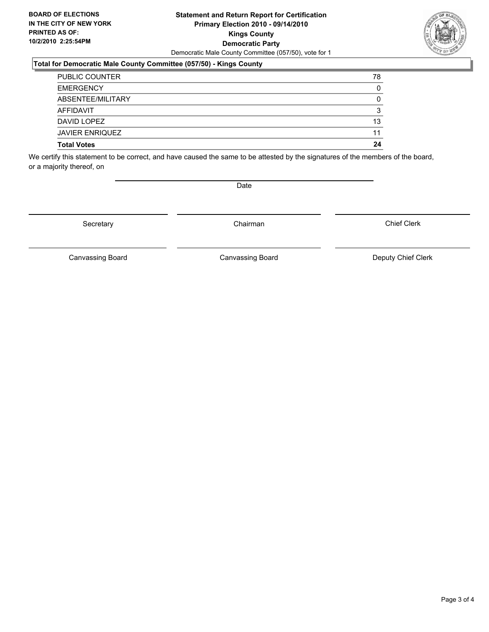### **Statement and Return Report for Certification Primary Election 2010 - 09/14/2010 Kings County Democratic Party** Democratic Male County Committee (057/50), vote for 1

### **Total for Democratic Male County Committee (057/50) - Kings County**

| <b>Total Votes</b>     | 24 |
|------------------------|----|
| <b>JAVIER ENRIQUEZ</b> | 11 |
| DAVID LOPEZ            | 13 |
| AFFIDAVIT              | 3  |
| ABSENTEE/MILITARY      | 0  |
| <b>EMERGENCY</b>       | 0  |
| <b>PUBLIC COUNTER</b>  | 78 |

We certify this statement to be correct, and have caused the same to be attested by the signatures of the members of the board, or a majority thereof, on

Secretary **Chairman** 

Canvassing Board

Canvassing Board **Canvassing Board** Canvassing Board **Deputy Chief Clerk** 

Chief Clerk

Page 3 of 4



Date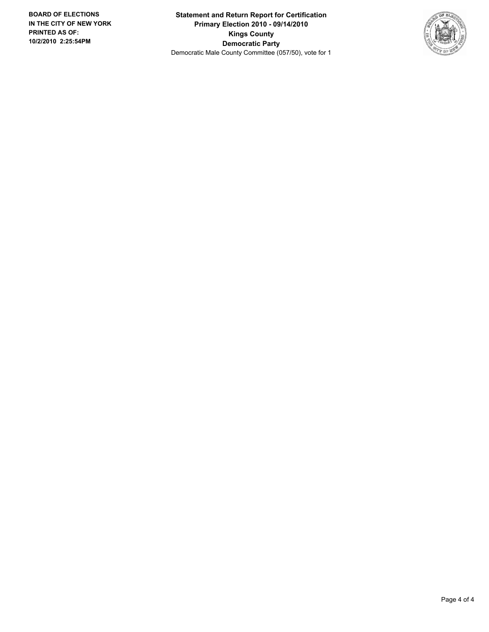**Statement and Return Report for Certification Primary Election 2010 - 09/14/2010 Kings County Democratic Party** Democratic Male County Committee (057/50), vote for 1

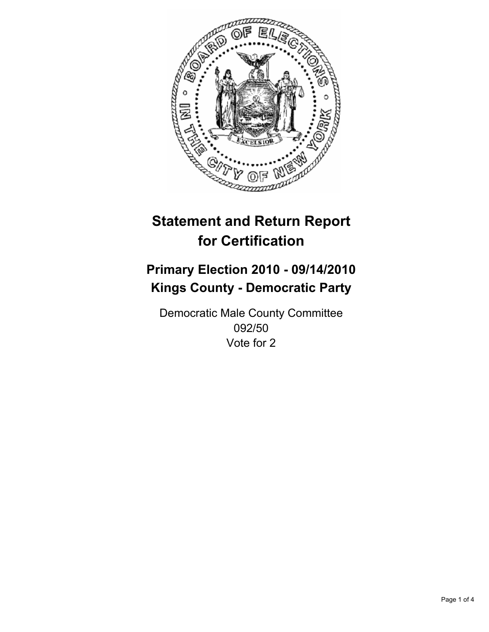

## **Primary Election 2010 - 09/14/2010 Kings County - Democratic Party**

Democratic Male County Committee 092/50 Vote for 2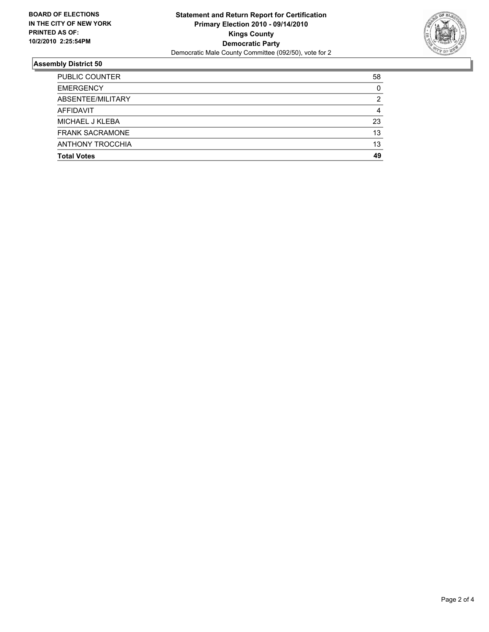

| <b>Total Votes</b>      | 13<br>49 |
|-------------------------|----------|
|                         |          |
| <b>ANTHONY TROCCHIA</b> |          |
| <b>FRANK SACRAMONE</b>  | 13       |
| MICHAEL J KLEBA         | 23       |
| <b>AFFIDAVIT</b>        | 4        |
| ABSENTEE/MILITARY       | 2        |
| <b>EMERGENCY</b>        | 0        |
| <b>PUBLIC COUNTER</b>   | 58       |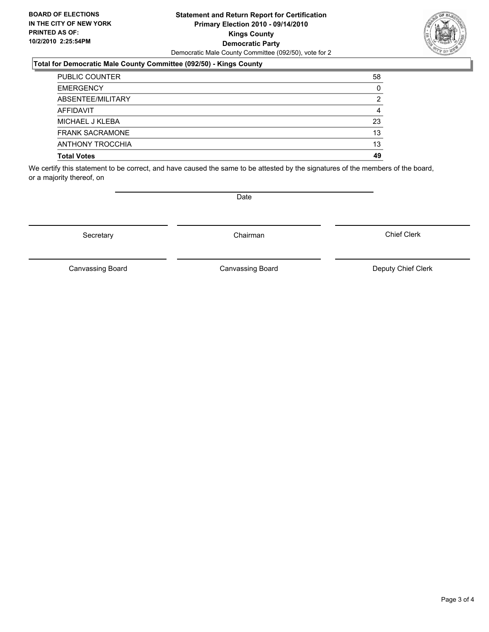### **Statement and Return Report for Certification Primary Election 2010 - 09/14/2010 Kings County Democratic Party** Democratic Male County Committee (092/50), vote for 2

### **Total for Democratic Male County Committee (092/50) - Kings County**

| <b>PUBLIC COUNTER</b>   | 58 |
|-------------------------|----|
| <b>EMERGENCY</b>        | 0  |
| ABSENTEE/MILITARY       | 2  |
| <b>AFFIDAVIT</b>        | 4  |
| MICHAEL J KLEBA         | 23 |
| <b>FRANK SACRAMONE</b>  | 13 |
| <b>ANTHONY TROCCHIA</b> | 13 |
| <b>Total Votes</b>      | 49 |

We certify this statement to be correct, and have caused the same to be attested by the signatures of the members of the board, or a majority thereof, on

Secretary **Chairman** 

Canvassing Board

Canvassing Board Canvassing Board Canvassing Canvassing Board Deputy Chief Clerk

Chief Clerk



**Date**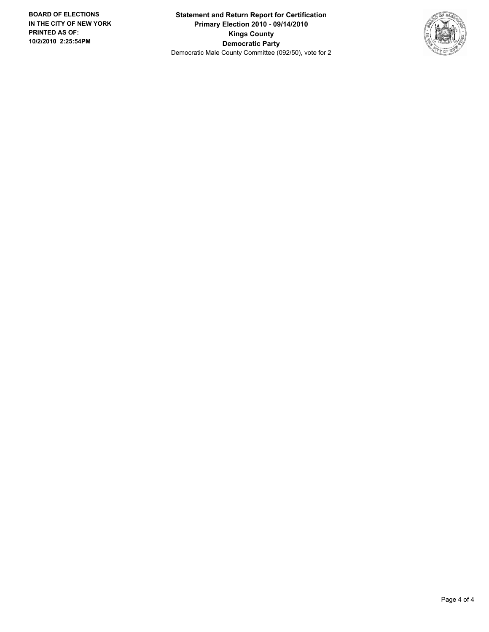**Statement and Return Report for Certification Primary Election 2010 - 09/14/2010 Kings County Democratic Party** Democratic Male County Committee (092/50), vote for 2

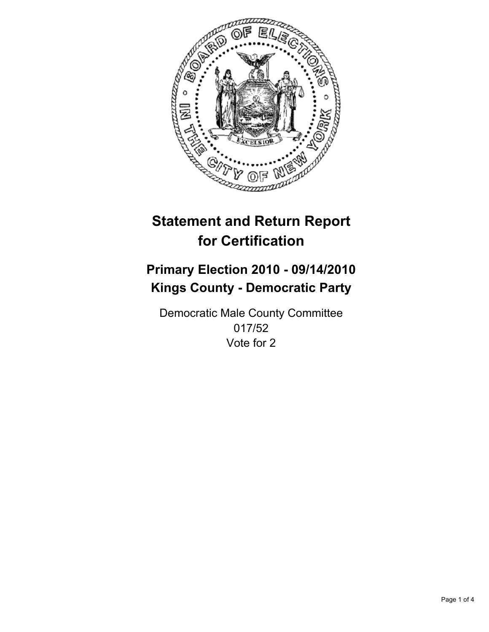

## **Primary Election 2010 - 09/14/2010 Kings County - Democratic Party**

Democratic Male County Committee 017/52 Vote for 2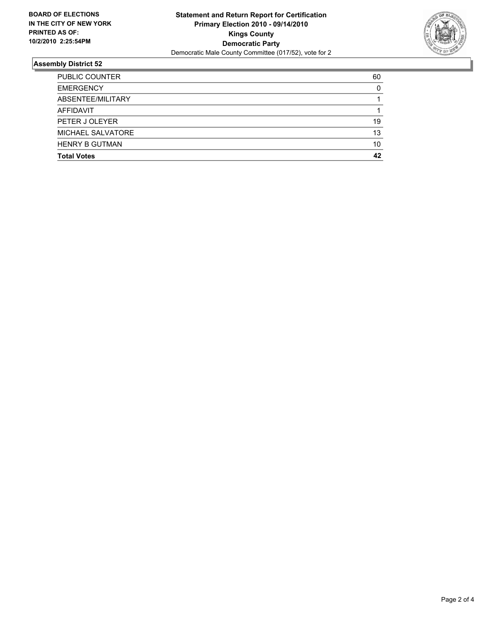

| <b>Total Votes</b>       | 42 |
|--------------------------|----|
| <b>HENRY B GUTMAN</b>    | 10 |
| <b>MICHAEL SALVATORE</b> | 13 |
| PETER J OLEYER           | 19 |
| <b>AFFIDAVIT</b>         |    |
| ABSENTEE/MILITARY        |    |
| <b>EMERGENCY</b>         | 0  |
| <b>PUBLIC COUNTER</b>    | 60 |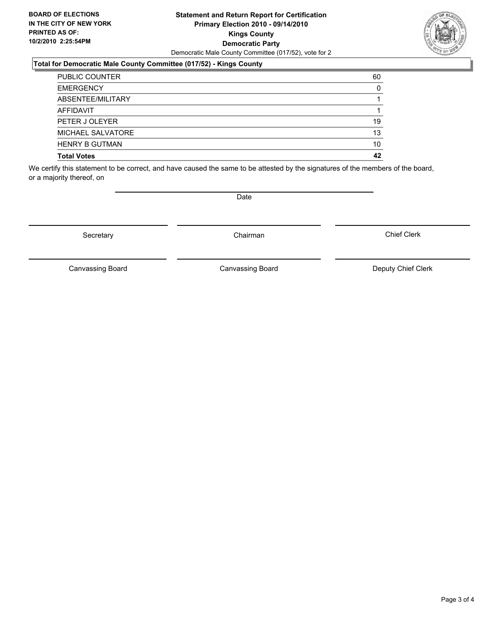### **Statement and Return Report for Certification Primary Election 2010 - 09/14/2010 Kings County Democratic Party** Democratic Male County Committee (017/52), vote for 2

### **Total for Democratic Male County Committee (017/52) - Kings County**

| <b>PUBLIC COUNTER</b>    | 60 |
|--------------------------|----|
| <b>EMERGENCY</b>         | 0  |
| ABSENTEE/MILITARY        |    |
| AFFIDAVIT                |    |
| PETER J OLEYER           | 19 |
| <b>MICHAEL SALVATORE</b> | 13 |
| <b>HENRY B GUTMAN</b>    | 10 |
| <b>Total Votes</b>       | 42 |

We certify this statement to be correct, and have caused the same to be attested by the signatures of the members of the board, or a majority thereof, on

Secretary **Chairman** 

**Date** 

Canvassing Board Canvassing Board Canvassing Canvassing Board Deputy Chief Clerk

Chief Clerk

Canvassing Board

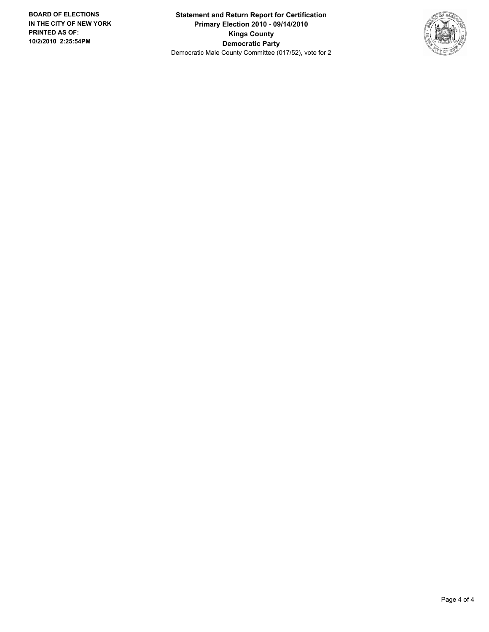**Statement and Return Report for Certification Primary Election 2010 - 09/14/2010 Kings County Democratic Party** Democratic Male County Committee (017/52), vote for 2

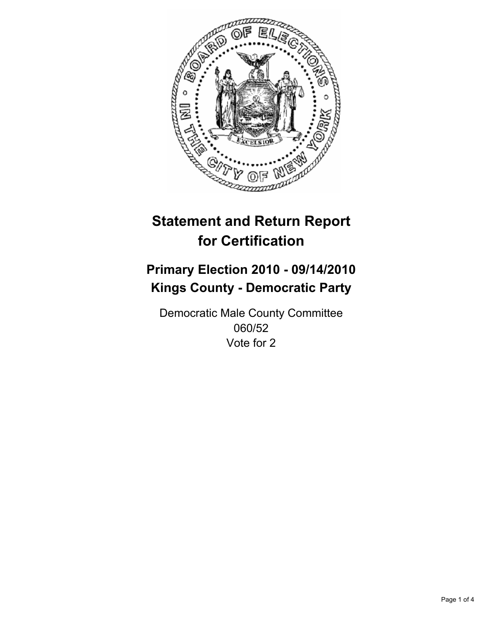

## **Primary Election 2010 - 09/14/2010 Kings County - Democratic Party**

Democratic Male County Committee 060/52 Vote for 2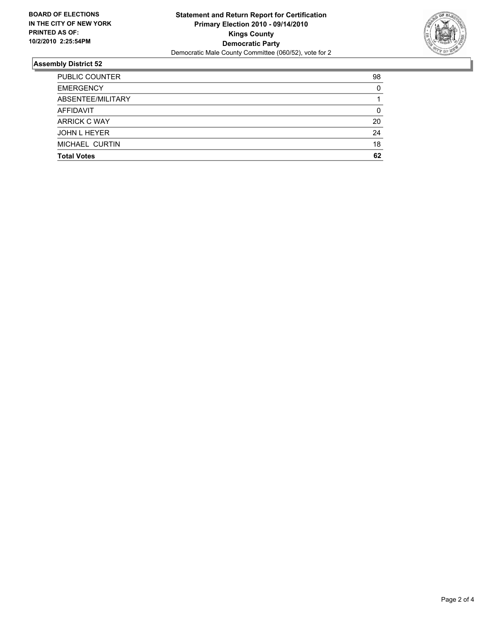

| <b>Total Votes</b>    | 62       |
|-----------------------|----------|
| MICHAEL CURTIN        | 18       |
| <b>JOHN L HEYER</b>   | 24       |
| ARRICK C WAY          | 20       |
| AFFIDAVIT             | 0        |
| ABSENTEE/MILITARY     |          |
| <b>EMERGENCY</b>      | $\Omega$ |
| <b>PUBLIC COUNTER</b> | 98       |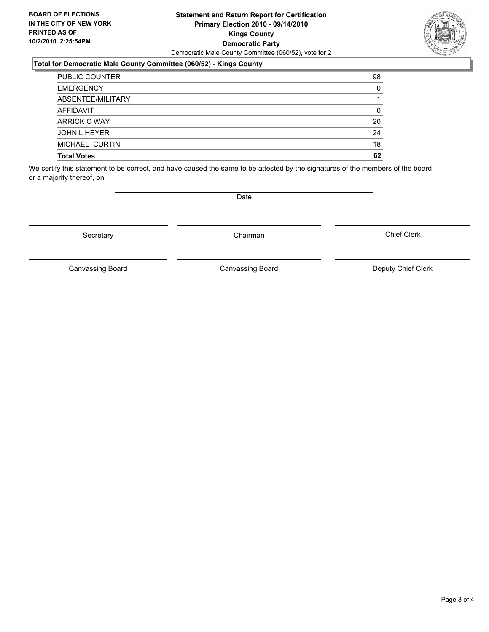### **Statement and Return Report for Certification Primary Election 2010 - 09/14/2010 Kings County Democratic Party** Democratic Male County Committee (060/52), vote for 2

### **Total for Democratic Male County Committee (060/52) - Kings County**

| <b>Total Votes</b>    | 62 |
|-----------------------|----|
| MICHAEL CURTIN        | 18 |
| <b>JOHN L HEYER</b>   | 24 |
| <b>ARRICK C WAY</b>   | 20 |
| <b>AFFIDAVIT</b>      | 0  |
| ABSENTEE/MILITARY     |    |
| <b>EMERGENCY</b>      | 0  |
| <b>PUBLIC COUNTER</b> | 98 |

We certify this statement to be correct, and have caused the same to be attested by the signatures of the members of the board, or a majority thereof, on

Canvassing Board

**Date** 

Canvassing Board Canvassing Board Canvassing Canvassing Board Deputy Chief Clerk

Chief Clerk



Secretary **Chairman**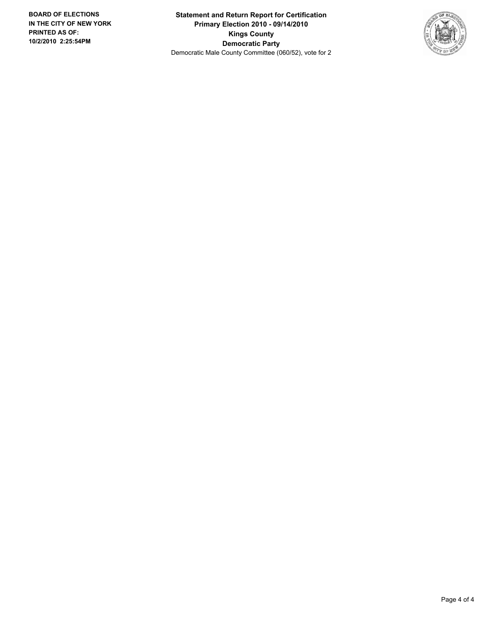**Statement and Return Report for Certification Primary Election 2010 - 09/14/2010 Kings County Democratic Party** Democratic Male County Committee (060/52), vote for 2

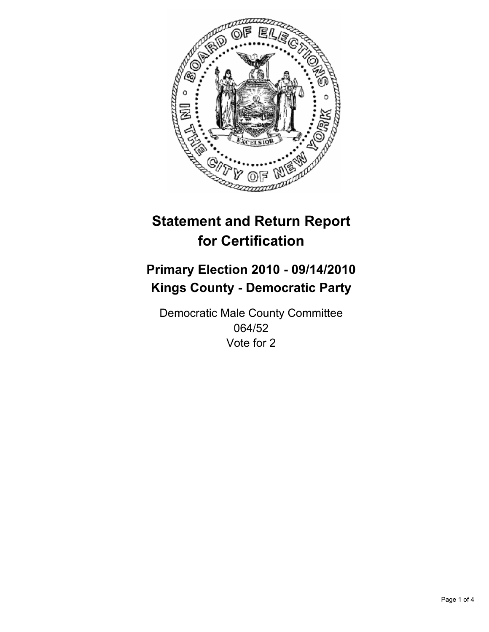

## **Primary Election 2010 - 09/14/2010 Kings County - Democratic Party**

Democratic Male County Committee 064/52 Vote for 2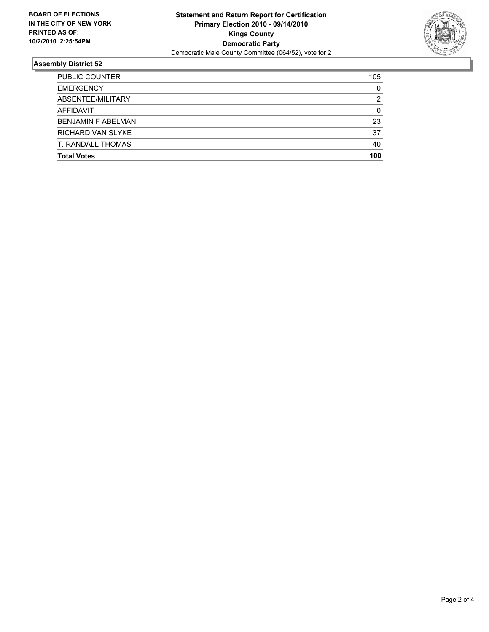

| <b>Total Votes</b>        | 100 |
|---------------------------|-----|
| T. RANDALL THOMAS         | 40  |
| RICHARD VAN SLYKE         | 37  |
| <b>BENJAMIN F ABELMAN</b> | 23  |
| AFFIDAVIT                 | 0   |
| ABSENTEE/MILITARY         | 2   |
| <b>EMERGENCY</b>          | 0   |
| <b>PUBLIC COUNTER</b>     | 105 |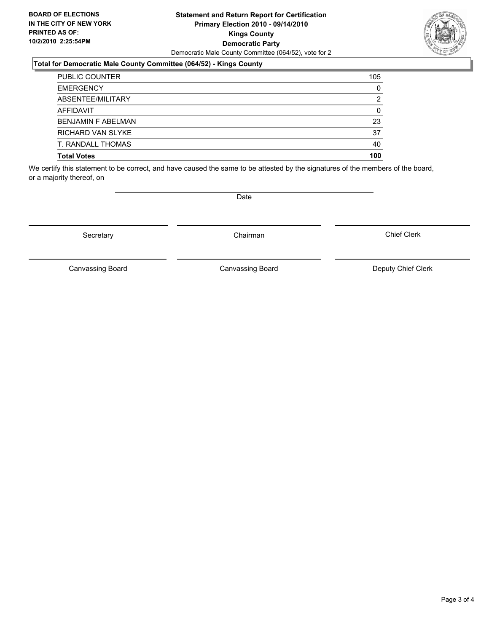### **Statement and Return Report for Certification Primary Election 2010 - 09/14/2010 Kings County Democratic Party** Democratic Male County Committee (064/52), vote for 2

### **Total for Democratic Male County Committee (064/52) - Kings County**

| <b>PUBLIC COUNTER</b>     | 105 |
|---------------------------|-----|
| <b>EMERGENCY</b>          | 0   |
| ABSENTEE/MILITARY         | 2   |
| <b>AFFIDAVIT</b>          | 0   |
| <b>BENJAMIN F ABELMAN</b> | 23  |
| RICHARD VAN SLYKE         | 37  |
| T. RANDALL THOMAS         | 40  |
| <b>Total Votes</b>        | 100 |

We certify this statement to be correct, and have caused the same to be attested by the signatures of the members of the board, or a majority thereof, on

Secretary **Chairman** 

Canvassing Board

Canvassing Board Canvassing Board Canvassing Canvassing Board Deputy Chief Clerk

Chief Clerk



**Date**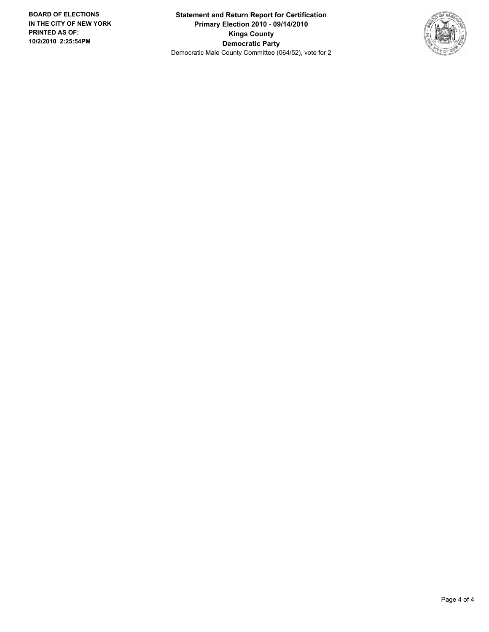**Statement and Return Report for Certification Primary Election 2010 - 09/14/2010 Kings County Democratic Party** Democratic Male County Committee (064/52), vote for 2

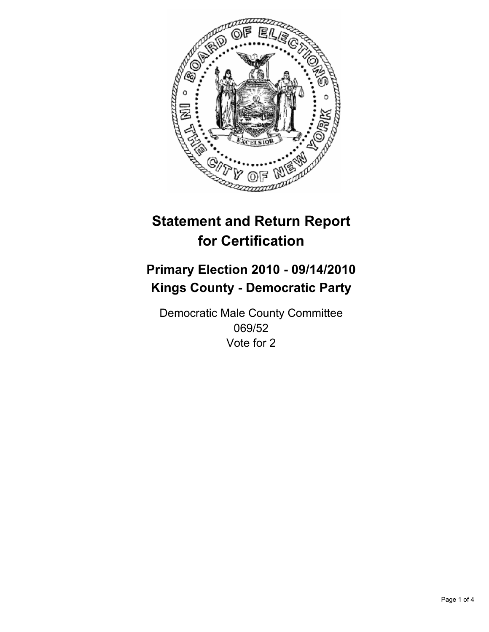

## **Primary Election 2010 - 09/14/2010 Kings County - Democratic Party**

Democratic Male County Committee 069/52 Vote for 2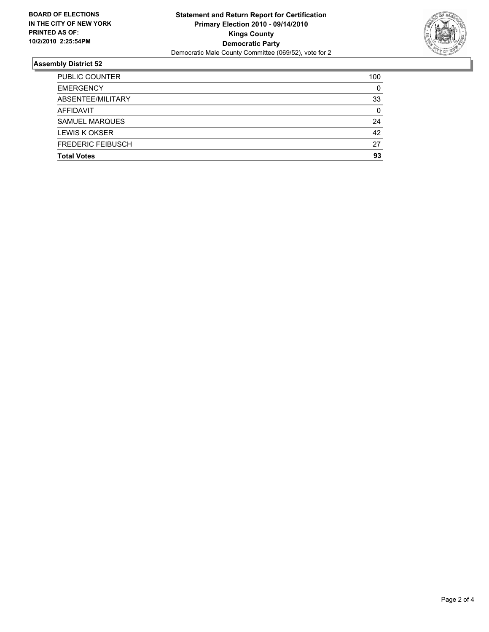

| <b>Total Votes</b>       | 93  |
|--------------------------|-----|
|                          |     |
| <b>FREDERIC FEIBUSCH</b> | 27  |
| <b>LEWIS K OKSER</b>     | 42  |
| <b>SAMUEL MARQUES</b>    | 24  |
| <b>AFFIDAVIT</b>         | 0   |
| ABSENTEE/MILITARY        | 33  |
| <b>EMERGENCY</b>         | 0   |
| <b>PUBLIC COUNTER</b>    | 100 |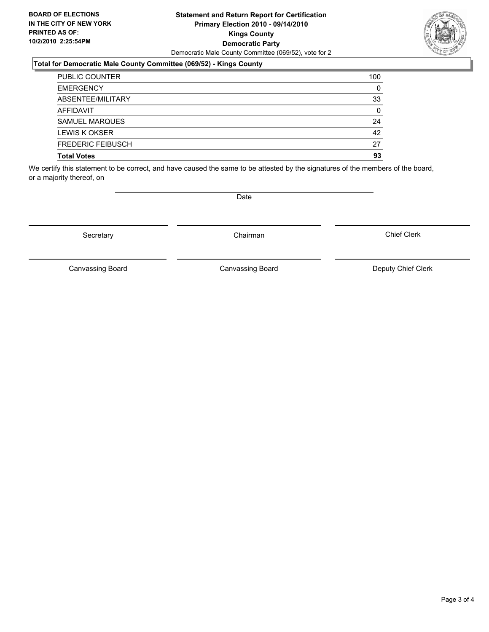### **Statement and Return Report for Certification Primary Election 2010 - 09/14/2010 Kings County Democratic Party** Democratic Male County Committee (069/52), vote for 2

### **Total for Democratic Male County Committee (069/52) - Kings County**

| <b>PUBLIC COUNTER</b>    | 100 |
|--------------------------|-----|
| <b>EMERGENCY</b>         | 0   |
| ABSENTEE/MILITARY        | 33  |
| AFFIDAVIT                | 0   |
| <b>SAMUEL MARQUES</b>    | 24  |
| <b>LEWIS K OKSER</b>     | 42  |
| <b>FREDERIC FEIBUSCH</b> | 27  |
| <b>Total Votes</b>       | 93  |

We certify this statement to be correct, and have caused the same to be attested by the signatures of the members of the board, or a majority thereof, on

Secretary **Chairman** 

Canvassing Board

Canvassing Board Canvassing Board Canvassing Canvassing Board Deputy Chief Clerk

Chief Clerk



**Date**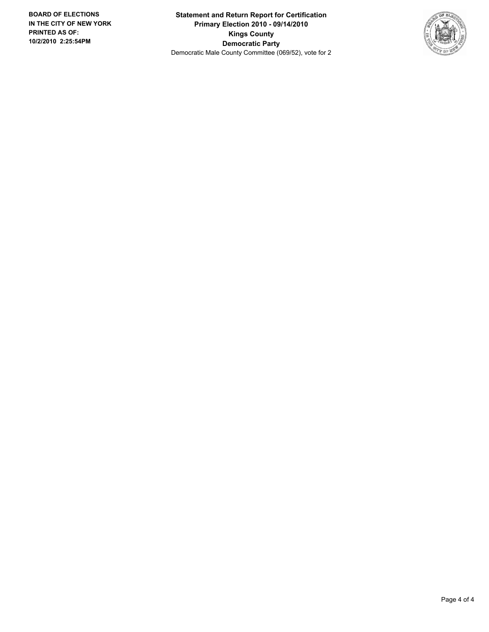**Statement and Return Report for Certification Primary Election 2010 - 09/14/2010 Kings County Democratic Party** Democratic Male County Committee (069/52), vote for 2

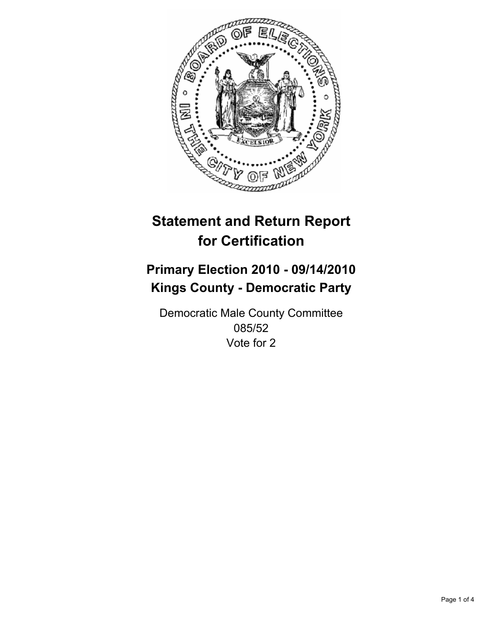

## **Primary Election 2010 - 09/14/2010 Kings County - Democratic Party**

Democratic Male County Committee 085/52 Vote for 2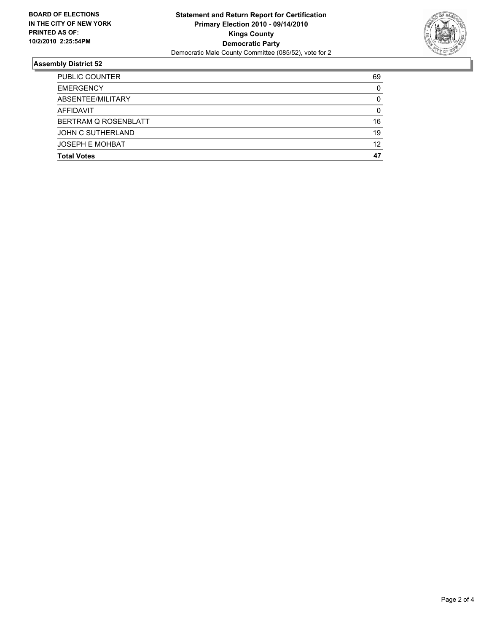

| <b>Total Votes</b>     | 47 |
|------------------------|----|
| <b>JOSEPH E MOHBAT</b> | 12 |
| JOHN C SUTHERLAND      | 19 |
| BERTRAM Q ROSENBLATT   | 16 |
| <b>AFFIDAVIT</b>       | 0  |
| ABSENTEE/MILITARY      | 0  |
| <b>EMERGENCY</b>       | 0  |
| <b>PUBLIC COUNTER</b>  | 69 |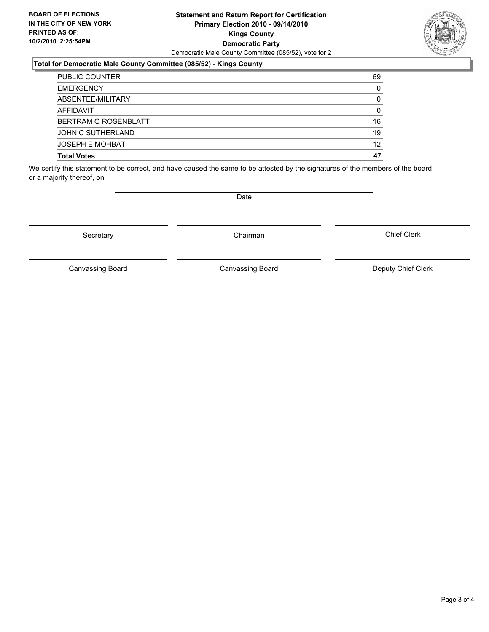### **Statement and Return Report for Certification Primary Election 2010 - 09/14/2010 Kings County Democratic Party** Democratic Male County Committee (085/52), vote for 2

### **Total for Democratic Male County Committee (085/52) - Kings County**

| <b>PUBLIC COUNTER</b>  | 69       |
|------------------------|----------|
| <b>EMERGENCY</b>       | $\Omega$ |
| ABSENTEE/MILITARY      | 0        |
| <b>AFFIDAVIT</b>       | 0        |
| BERTRAM Q ROSENBLATT   | 16       |
| JOHN C SUTHERLAND      | 19       |
| <b>JOSEPH E MOHBAT</b> | 12       |
| <b>Total Votes</b>     | 47       |

We certify this statement to be correct, and have caused the same to be attested by the signatures of the members of the board, or a majority thereof, on

Secretary **Chairman** 

Canvassing Board

Canvassing Board Canvassing Board Canvassing Canvassing Board Deputy Chief Clerk

Chief Clerk

**Date**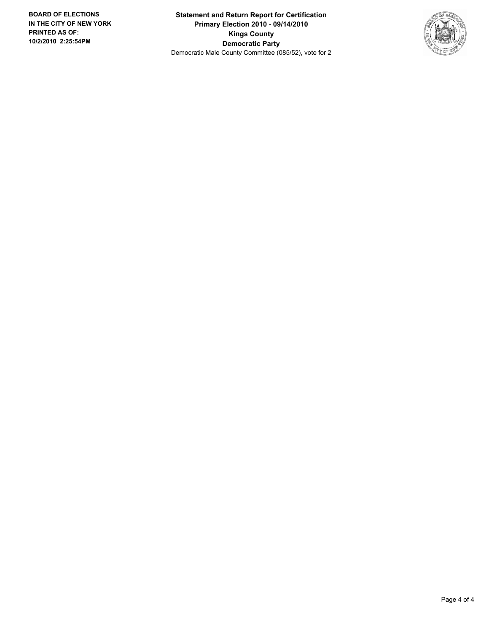**Statement and Return Report for Certification Primary Election 2010 - 09/14/2010 Kings County Democratic Party** Democratic Male County Committee (085/52), vote for 2

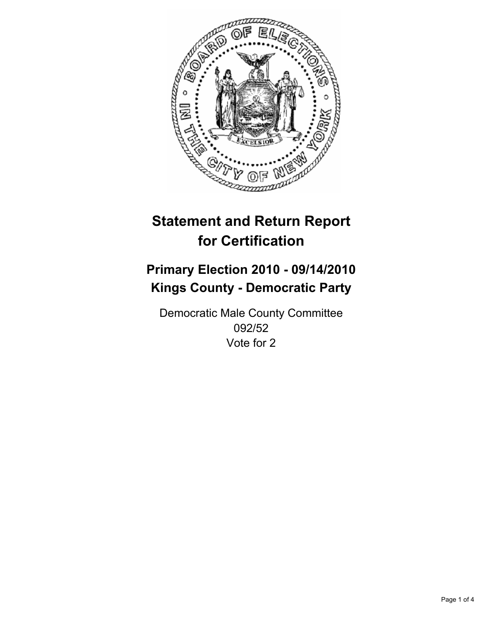

## **Primary Election 2010 - 09/14/2010 Kings County - Democratic Party**

Democratic Male County Committee 092/52 Vote for 2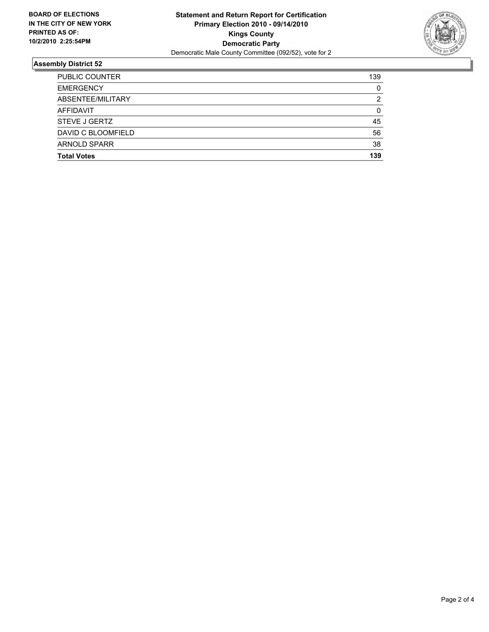

| <b>Total Votes</b>    | 139 |
|-----------------------|-----|
| <b>ARNOLD SPARR</b>   | 38  |
| DAVID C BLOOMFIELD    | 56  |
| STEVE J GERTZ         | 45  |
| AFFIDAVIT             | 0   |
| ABSENTEE/MILITARY     | 2   |
| <b>EMERGENCY</b>      | 0   |
| <b>PUBLIC COUNTER</b> | 139 |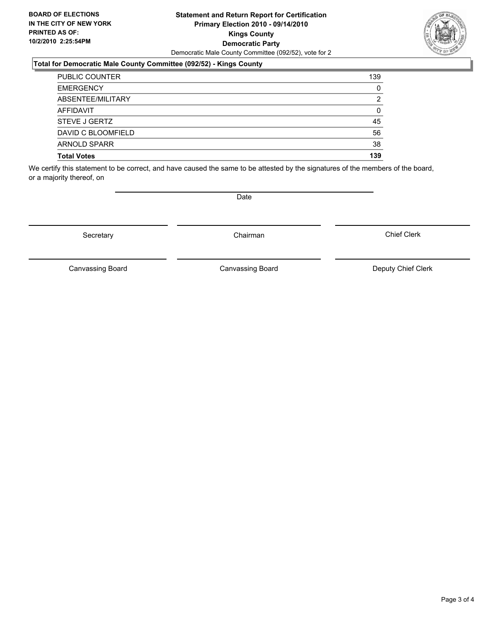### **Statement and Return Report for Certification Primary Election 2010 - 09/14/2010 Kings County Democratic Party** Democratic Male County Committee (092/52), vote for 2

### **Total for Democratic Male County Committee (092/52) - Kings County**

| DAVID C BLOOMFIELD                | 56      |
|-----------------------------------|---------|
| <b>ARNOLD SPARR</b>               | 38      |
|                                   |         |
| <b>AFFIDAVIT</b><br>STEVE J GERTZ | 0<br>45 |
|                                   |         |
| ABSENTEE/MILITARY                 | 2       |
| <b>EMERGENCY</b>                  | 0       |
| <b>PUBLIC COUNTER</b>             | 139     |

We certify this statement to be correct, and have caused the same to be attested by the signatures of the members of the board, or a majority thereof, on

Secretary **Chairman** 

Canvassing Board

**Date** 

Canvassing Board Canvassing Board Canvassing Canvassing Board Deputy Chief Clerk

Chief Clerk

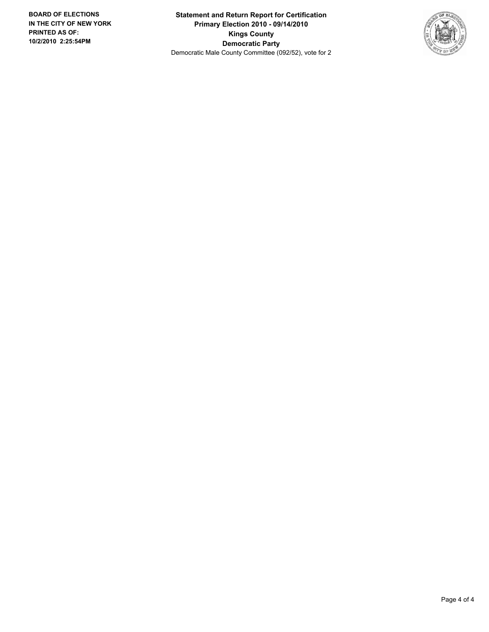**Statement and Return Report for Certification Primary Election 2010 - 09/14/2010 Kings County Democratic Party** Democratic Male County Committee (092/52), vote for 2

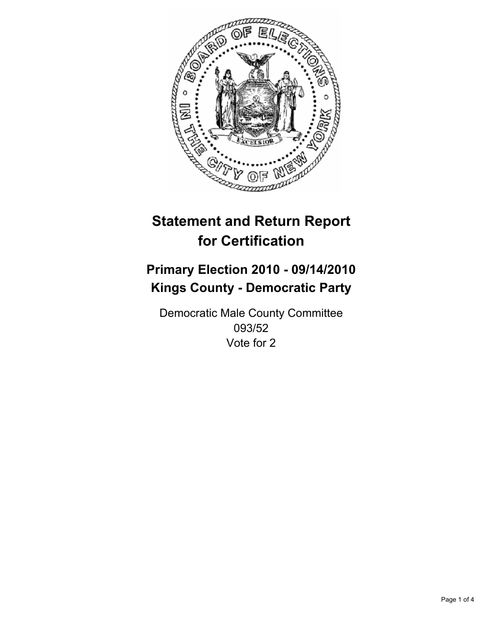

## **Primary Election 2010 - 09/14/2010 Kings County - Democratic Party**

Democratic Male County Committee 093/52 Vote for 2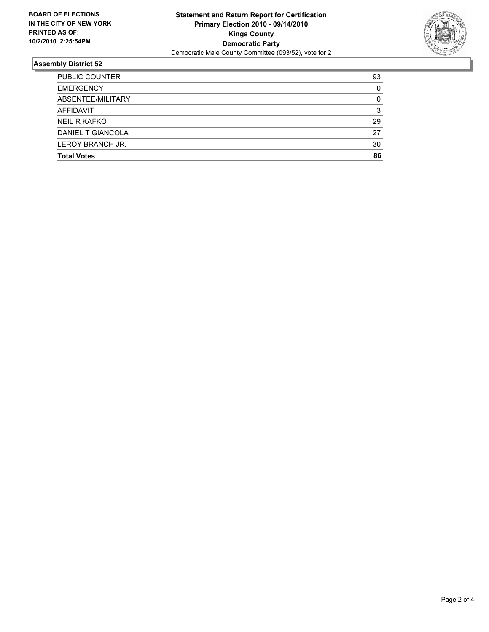

| <b>PUBLIC COUNTER</b> | 93 |
|-----------------------|----|
| <b>EMERGENCY</b>      | 0  |
| ABSENTEE/MILITARY     | 0  |
| <b>AFFIDAVIT</b>      | 3  |
| <b>NEIL R KAFKO</b>   | 29 |
| DANIEL T GIANCOLA     | 27 |
| LEROY BRANCH JR.      | 30 |
| <b>Total Votes</b>    | 86 |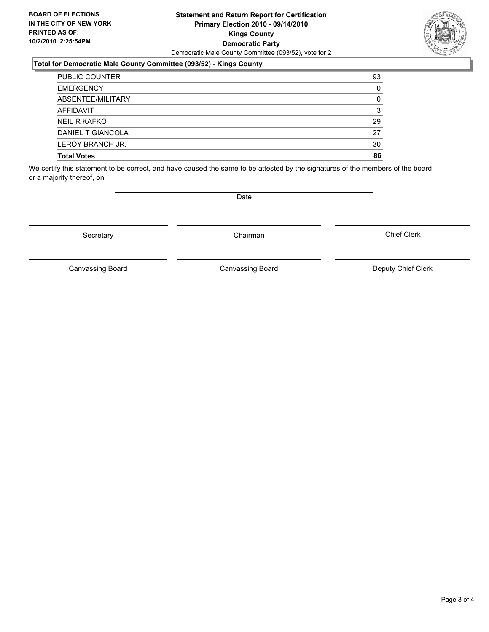### **Statement and Return Report for Certification Primary Election 2010 - 09/14/2010 Kings County Democratic Party** Democratic Male County Committee (093/52), vote for 2

### **Total for Democratic Male County Committee (093/52) - Kings County**

| <b>EMERGENCY</b><br>ABSENTEE/MILITARY | 0  |
|---------------------------------------|----|
| <b>AFFIDAVIT</b>                      | 3  |
| NEIL R KAFKO                          | 29 |
| DANIEL T GIANCOLA                     | 27 |
| LEROY BRANCH JR.                      | 30 |
| <b>Total Votes</b>                    | 86 |

We certify this statement to be correct, and have caused the same to be attested by the signatures of the members of the board, or a majority thereof, on

Canvassing Board

Canvassing Board Canvassing Board Canvassing Canvassing Board Deputy Chief Clerk

Chief Clerk



**Date** 

Secretary **Chairman**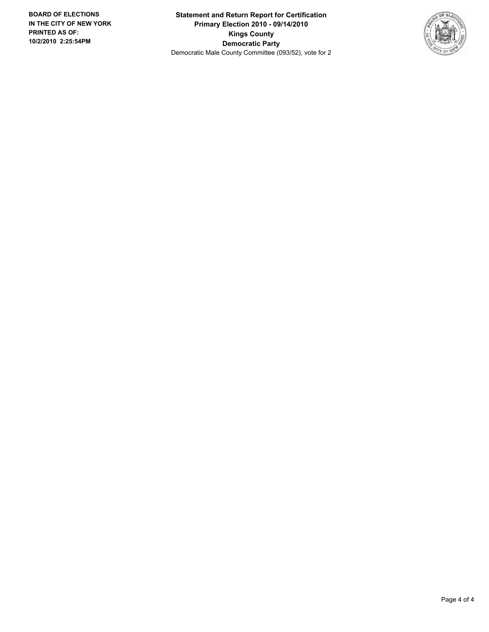**Statement and Return Report for Certification Primary Election 2010 - 09/14/2010 Kings County Democratic Party** Democratic Male County Committee (093/52), vote for 2

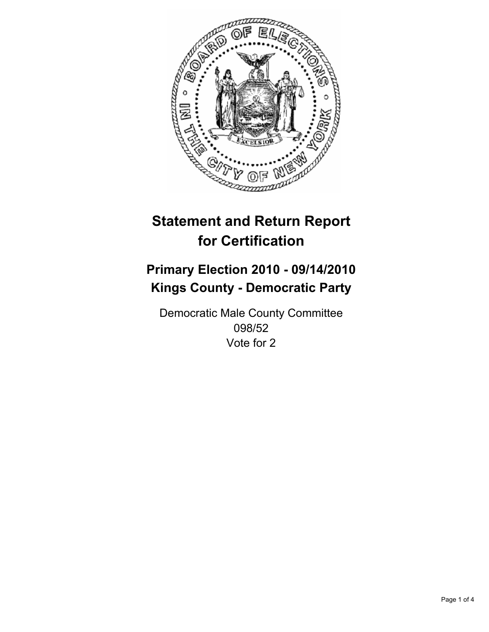

## **Primary Election 2010 - 09/14/2010 Kings County - Democratic Party**

Democratic Male County Committee 098/52 Vote for 2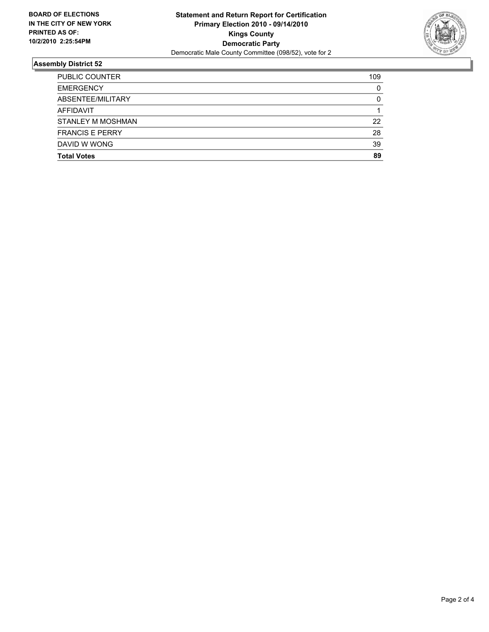

| <b>Total Votes</b>       | 89  |
|--------------------------|-----|
| DAVID W WONG             | 39  |
| <b>FRANCIS E PERRY</b>   | 28  |
| <b>STANLEY M MOSHMAN</b> | 22  |
| <b>AFFIDAVIT</b>         |     |
| ABSENTEE/MILITARY        | 0   |
| <b>EMERGENCY</b>         | 0   |
| <b>PUBLIC COUNTER</b>    | 109 |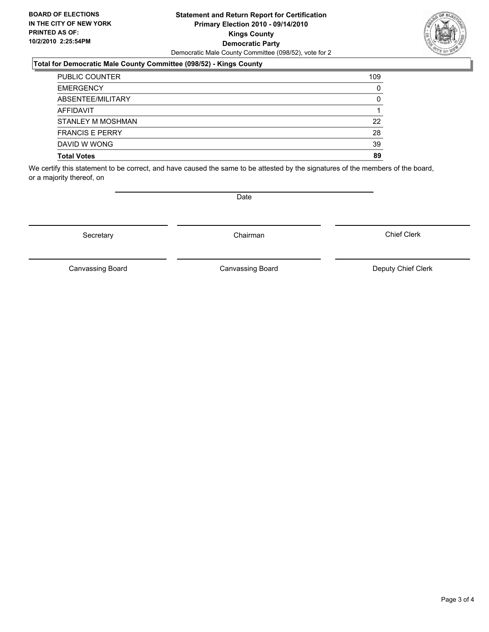#### **Statement and Return Report for Certification Primary Election 2010 - 09/14/2010 Kings County Democratic Party** Democratic Male County Committee (098/52), vote for 2

### **Total for Democratic Male County Committee (098/52) - Kings County**

| <b>PUBLIC COUNTER</b>  | 109 |
|------------------------|-----|
| <b>EMERGENCY</b>       | 0   |
| ABSENTEE/MILITARY      | 0   |
| <b>AFFIDAVIT</b>       |     |
| STANLEY M MOSHMAN      | 22  |
| <b>FRANCIS E PERRY</b> | 28  |
| DAVID W WONG           | 39  |
| <b>Total Votes</b>     | 89  |

We certify this statement to be correct, and have caused the same to be attested by the signatures of the members of the board, or a majority thereof, on

Secretary **Chairman** 

Canvassing Board

**Date** 

Canvassing Board Canvassing Board Canvassing Canvassing Board Deputy Chief Clerk

Chief Clerk

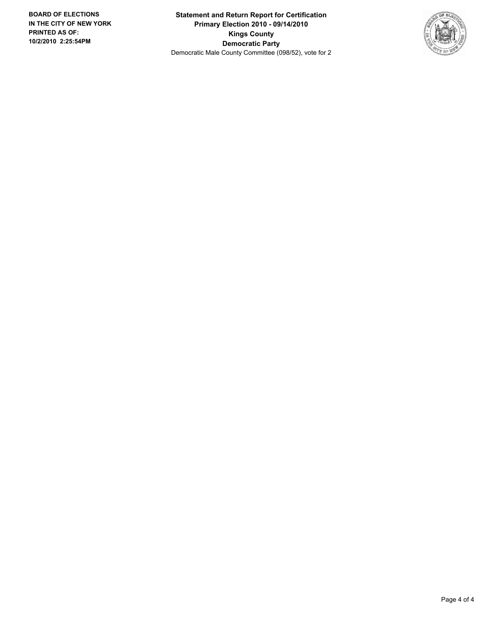**Statement and Return Report for Certification Primary Election 2010 - 09/14/2010 Kings County Democratic Party** Democratic Male County Committee (098/52), vote for 2

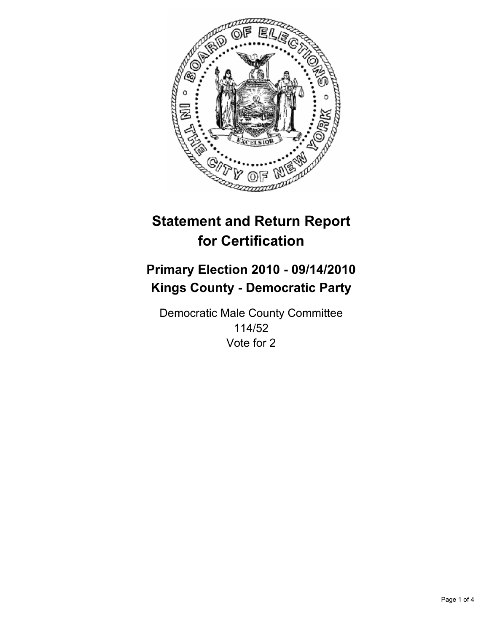

## **Primary Election 2010 - 09/14/2010 Kings County - Democratic Party**

Democratic Male County Committee 114/52 Vote for 2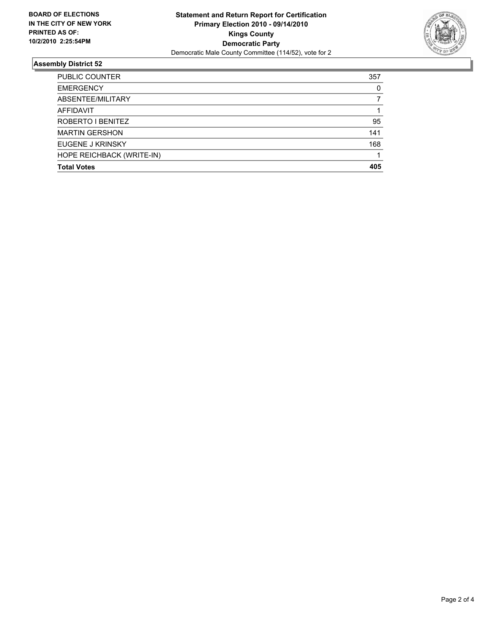

| PUBLIC COUNTER            | 357 |
|---------------------------|-----|
| <b>EMERGENCY</b>          | 0   |
| ABSENTEE/MILITARY         |     |
| <b>AFFIDAVIT</b>          |     |
| ROBERTO I BENITEZ         | 95  |
| <b>MARTIN GERSHON</b>     | 141 |
| EUGENE J KRINSKY          | 168 |
| HOPE REICHBACK (WRITE-IN) |     |
| <b>Total Votes</b>        | 405 |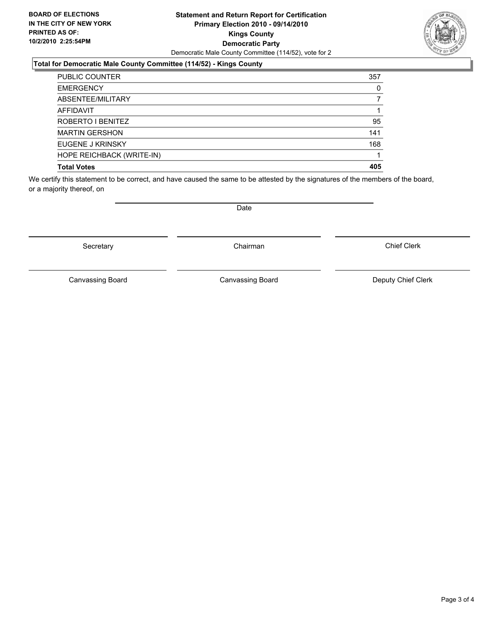#### **Statement and Return Report for Certification Primary Election 2010 - 09/14/2010 Kings County Democratic Party** Democratic Male County Committee (114/52), vote for 2

### **Total for Democratic Male County Committee (114/52) - Kings County**

| PUBLIC COUNTER            | 357 |
|---------------------------|-----|
| <b>EMERGENCY</b>          | 0   |
| ABSENTEE/MILITARY         |     |
| AFFIDAVIT                 |     |
| ROBERTO I BENITEZ         | 95  |
| <b>MARTIN GERSHON</b>     | 141 |
| EUGENE J KRINSKY          | 168 |
| HOPE REICHBACK (WRITE-IN) |     |
| <b>Total Votes</b>        | 405 |

We certify this statement to be correct, and have caused the same to be attested by the signatures of the members of the board, or a majority thereof, on

Secretary **Chairman** 

Canvassing Board

Date

Chief Clerk



Canvassing Board **Canvassing Board** Canvassing Board **Deputy Chief Clerk**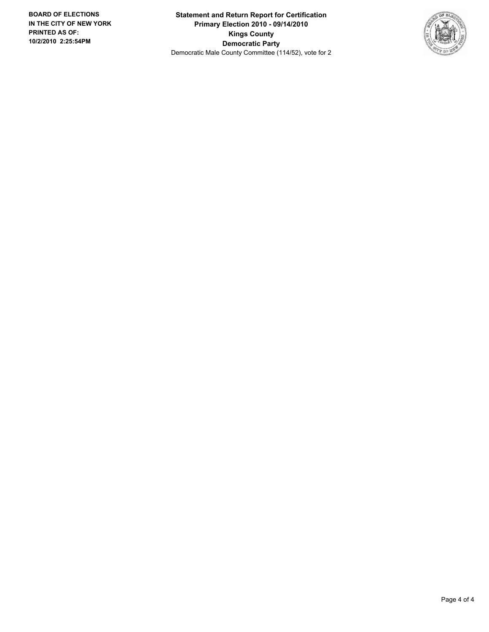**Statement and Return Report for Certification Primary Election 2010 - 09/14/2010 Kings County Democratic Party** Democratic Male County Committee (114/52), vote for 2

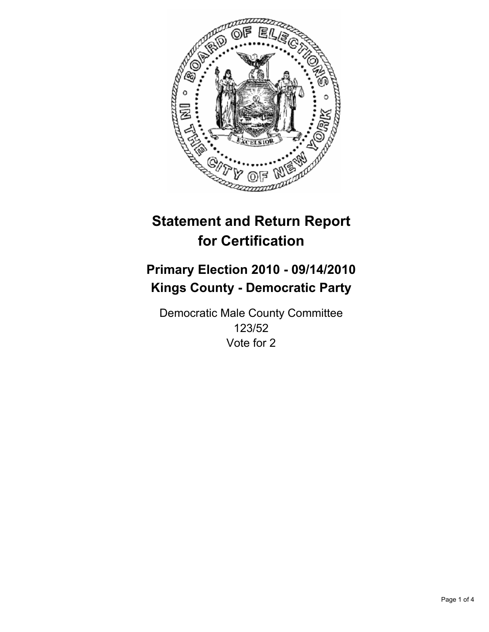

## **Primary Election 2010 - 09/14/2010 Kings County - Democratic Party**

Democratic Male County Committee 123/52 Vote for 2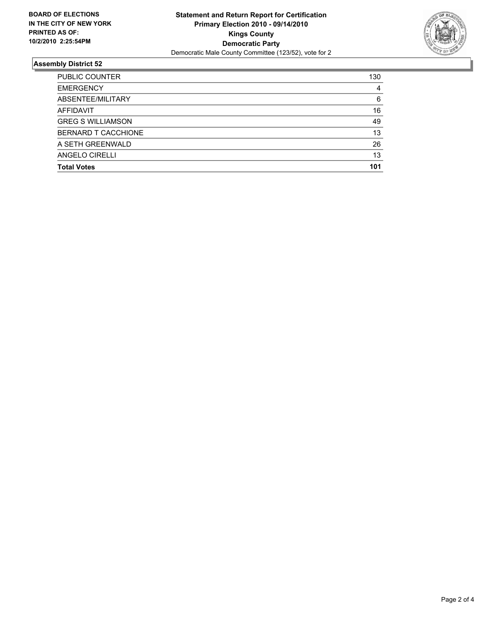

| <b>PUBLIC COUNTER</b>    | 130 |
|--------------------------|-----|
| <b>EMERGENCY</b>         | 4   |
| ABSENTEE/MILITARY        | 6   |
| AFFIDAVIT                | 16  |
| <b>GREG S WILLIAMSON</b> | 49  |
| BERNARD T CACCHIONE      | 13  |
| A SETH GREENWALD         | 26  |
| ANGELO CIRELLI           | 13  |
| <b>Total Votes</b>       | 101 |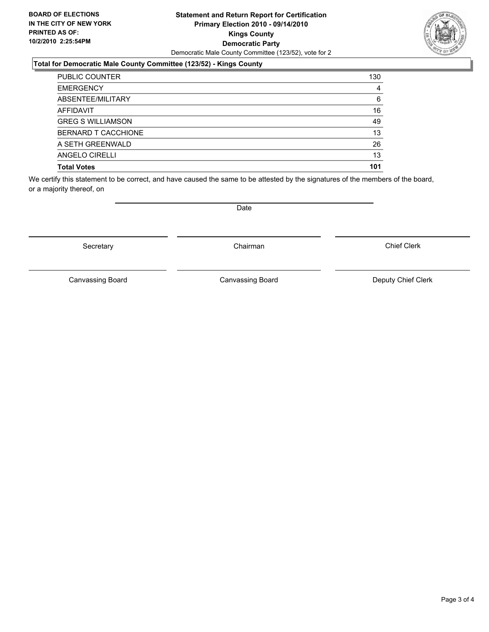#### **Statement and Return Report for Certification Primary Election 2010 - 09/14/2010 Kings County Democratic Party** Democratic Male County Committee (123/52), vote for 2

### **Total for Democratic Male County Committee (123/52) - Kings County**

| <b>PUBLIC COUNTER</b>    | 130 |
|--------------------------|-----|
| <b>EMERGENCY</b>         | 4   |
| ABSENTEE/MILITARY        | 6   |
| AFFIDAVIT                | 16  |
| <b>GREG S WILLIAMSON</b> | 49  |
| BERNARD T CACCHIONE      | 13  |
| A SETH GREENWALD         | 26  |
| ANGELO CIRELLI           | 13  |
| <b>Total Votes</b>       | 101 |

We certify this statement to be correct, and have caused the same to be attested by the signatures of the members of the board, or a majority thereof, on

Secretary **Chairman** 

Canvassing Board

Canvassing Board **Canvassing Board** Canvassing Board **Deputy Chief Clerk** 

Chief Clerk

Date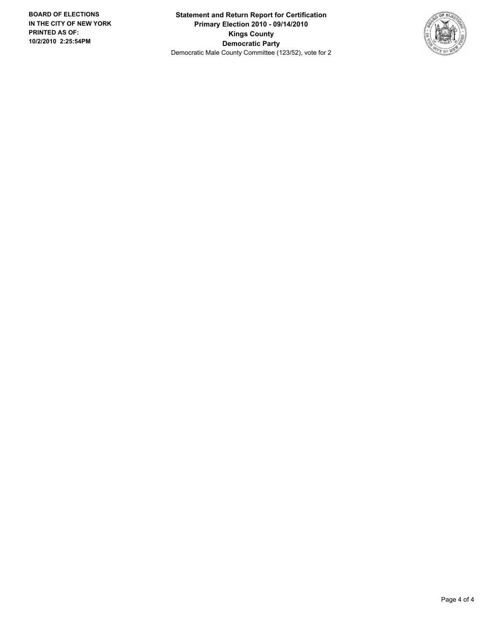**Statement and Return Report for Certification Primary Election 2010 - 09/14/2010 Kings County Democratic Party** Democratic Male County Committee (123/52), vote for 2

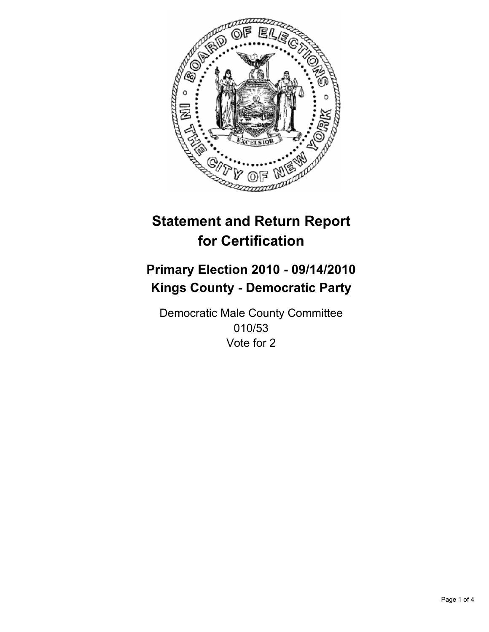

## **Primary Election 2010 - 09/14/2010 Kings County - Democratic Party**

Democratic Male County Committee 010/53 Vote for 2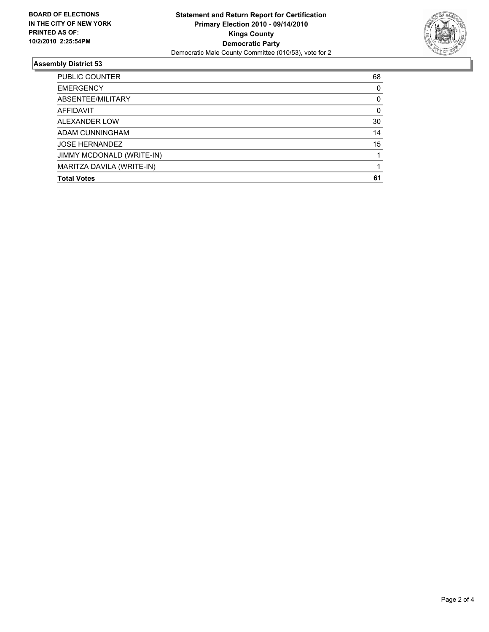

| <b>PUBLIC COUNTER</b>     | 68 |
|---------------------------|----|
| <b>EMERGENCY</b>          | 0  |
| ABSENTEE/MILITARY         | 0  |
| <b>AFFIDAVIT</b>          | 0  |
| ALEXANDER LOW             | 30 |
| ADAM CUNNINGHAM           | 14 |
| <b>JOSE HERNANDEZ</b>     | 15 |
| JIMMY MCDONALD (WRITE-IN) |    |
| MARITZA DAVILA (WRITE-IN) |    |
| <b>Total Votes</b>        | 61 |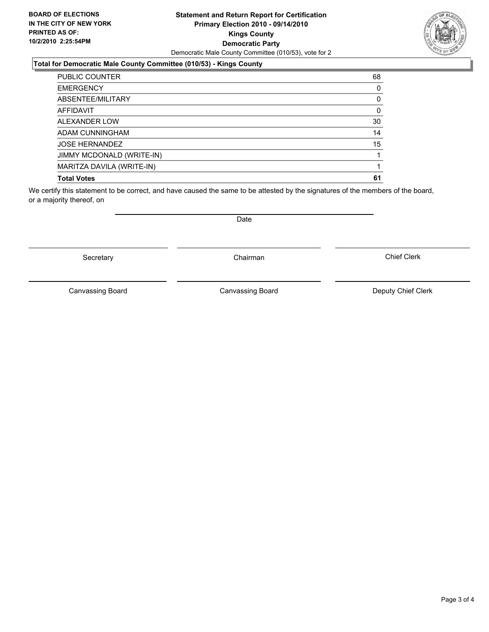#### **Statement and Return Report for Certification Primary Election 2010 - 09/14/2010 Kings County Democratic Party** Democratic Male County Committee (010/53), vote for 2

### **Total for Democratic Male County Committee (010/53) - Kings County**

| PUBLIC COUNTER            | 68 |
|---------------------------|----|
| <b>EMERGENCY</b>          | 0  |
| ABSENTEE/MILITARY         | 0  |
| <b>AFFIDAVIT</b>          | 0  |
| ALEXANDER LOW             | 30 |
| ADAM CUNNINGHAM           | 14 |
| <b>JOSE HERNANDEZ</b>     | 15 |
| JIMMY MCDONALD (WRITE-IN) |    |
| MARITZA DAVILA (WRITE-IN) |    |
| <b>Total Votes</b>        | 61 |

We certify this statement to be correct, and have caused the same to be attested by the signatures of the members of the board, or a majority thereof, on

Secretary **Chairman** 

Canvassing Board **Canvassing Board** Canvassing Board **Deputy Chief Clerk** 

Canvassing Board

Chief Clerk

Page 3 of 4



Date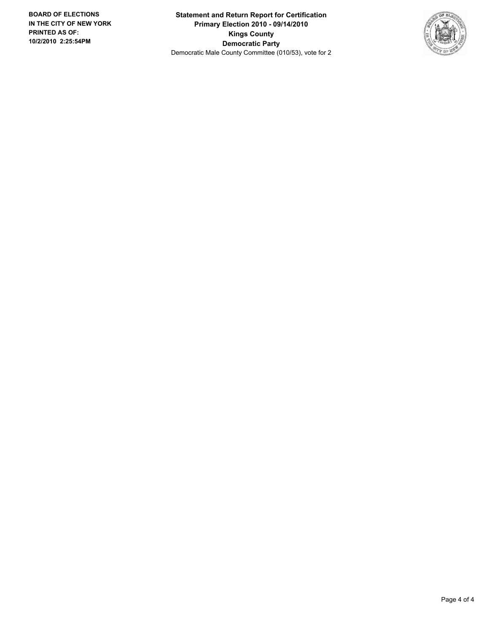**Statement and Return Report for Certification Primary Election 2010 - 09/14/2010 Kings County Democratic Party** Democratic Male County Committee (010/53), vote for 2

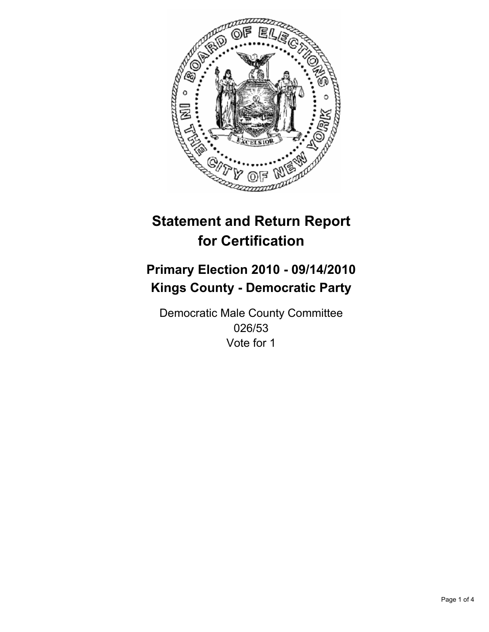

## **Primary Election 2010 - 09/14/2010 Kings County - Democratic Party**

Democratic Male County Committee 026/53 Vote for 1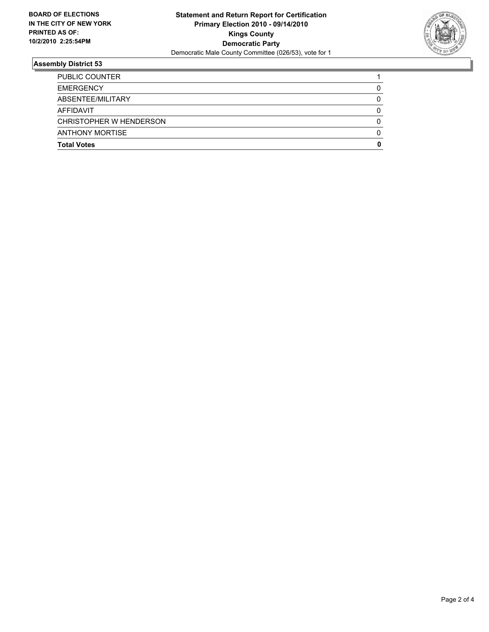

| <b>Total Votes</b>      | 0 |
|-------------------------|---|
| <b>ANTHONY MORTISE</b>  | 0 |
| CHRISTOPHER W HENDERSON | 0 |
| AFFIDAVIT               | 0 |
| ABSENTEE/MILITARY       | 0 |
| <b>EMERGENCY</b>        | 0 |
| PUBLIC COUNTER          |   |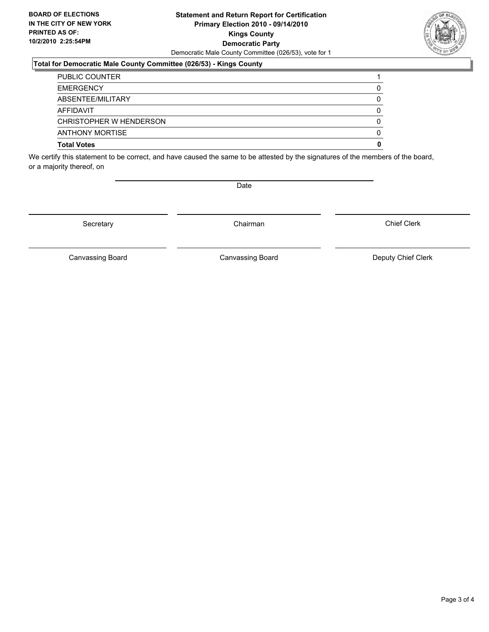#### **Statement and Return Report for Certification Primary Election 2010 - 09/14/2010 Kings County Democratic Party** Democratic Male County Committee (026/53), vote for 1

#### **Total for Democratic Male County Committee (026/53) - Kings County**

| <b>Total Votes</b>      | 0 |
|-------------------------|---|
| <b>ANTHONY MORTISE</b>  | 0 |
| CHRISTOPHER W HENDERSON | 0 |
| AFFIDAVIT               | 0 |
| ABSENTEE/MILITARY       | 0 |
| <b>EMERGENCY</b>        | 0 |
| PUBLIC COUNTER          |   |

We certify this statement to be correct, and have caused the same to be attested by the signatures of the members of the board, or a majority thereof, on

Secretary **Chairman** 

Canvassing Board **Canvassing Board** Canvassing Board **Deputy Chief Clerk** 

Canvassing Board

Chief Clerk

Page 3 of 4



Date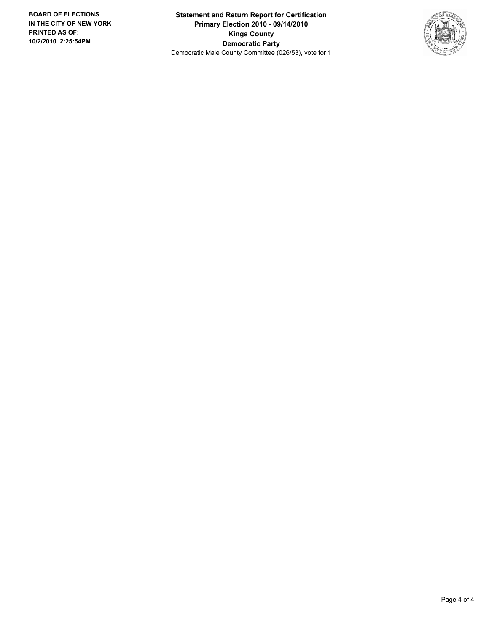**Statement and Return Report for Certification Primary Election 2010 - 09/14/2010 Kings County Democratic Party** Democratic Male County Committee (026/53), vote for 1

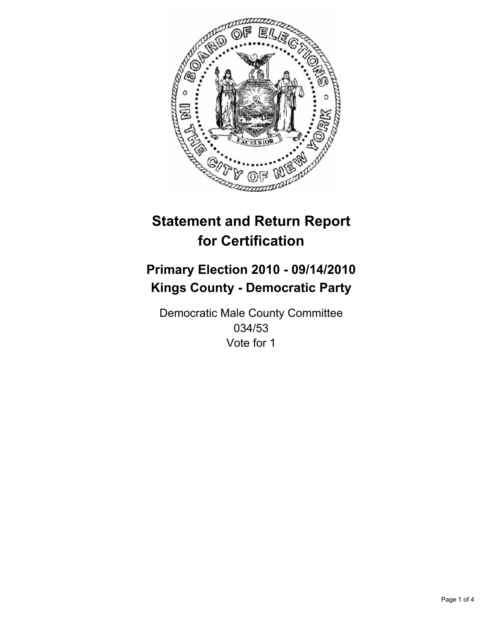

## **Primary Election 2010 - 09/14/2010 Kings County - Democratic Party**

Democratic Male County Committee 034/53 Vote for 1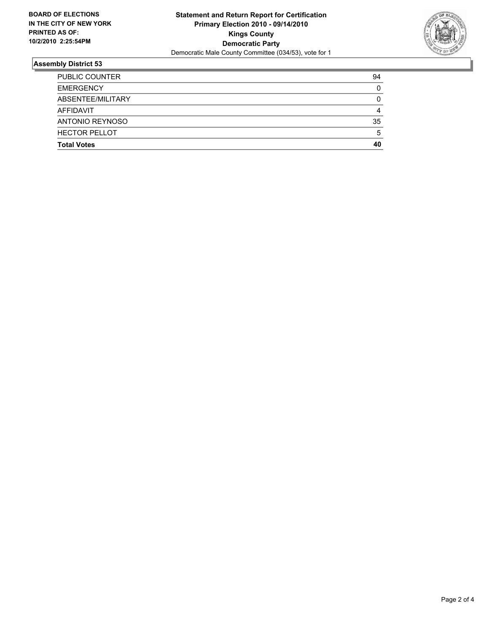

| <b>Total Votes</b>   | 40 |
|----------------------|----|
| <b>HECTOR PELLOT</b> | 5  |
| ANTONIO REYNOSO      | 35 |
| AFFIDAVIT            | 4  |
| ABSENTEE/MILITARY    | 0  |
| <b>EMERGENCY</b>     | 0  |
| PUBLIC COUNTER       | 94 |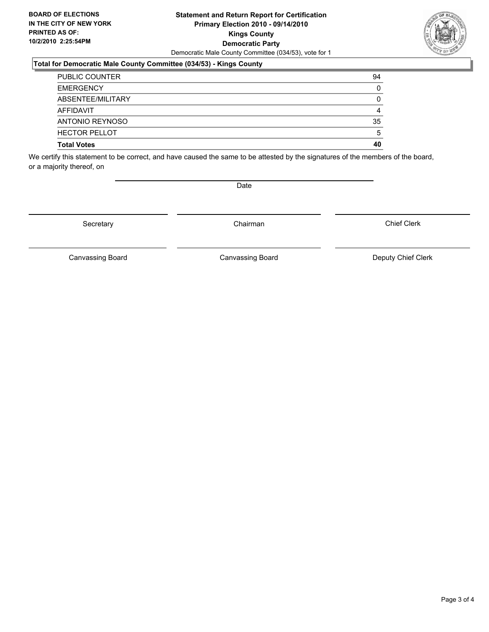#### **Statement and Return Report for Certification Primary Election 2010 - 09/14/2010 Kings County Democratic Party** Democratic Male County Committee (034/53), vote for 1

#### **Total for Democratic Male County Committee (034/53) - Kings County**

| PUBLIC COUNTER       | 94 |
|----------------------|----|
| <b>EMERGENCY</b>     | 0  |
| ABSENTEE/MILITARY    | 0  |
| AFFIDAVIT            | 4  |
| ANTONIO REYNOSO      | 35 |
| <b>HECTOR PELLOT</b> | 5  |
| <b>Total Votes</b>   | 40 |

We certify this statement to be correct, and have caused the same to be attested by the signatures of the members of the board, or a majority thereof, on

Secretary **Chairman** 

Canvassing Board **Canvassing Board** Canvassing Board **Deputy Chief Clerk** 

Canvassing Board

Chief Clerk

Page 3 of 4



Date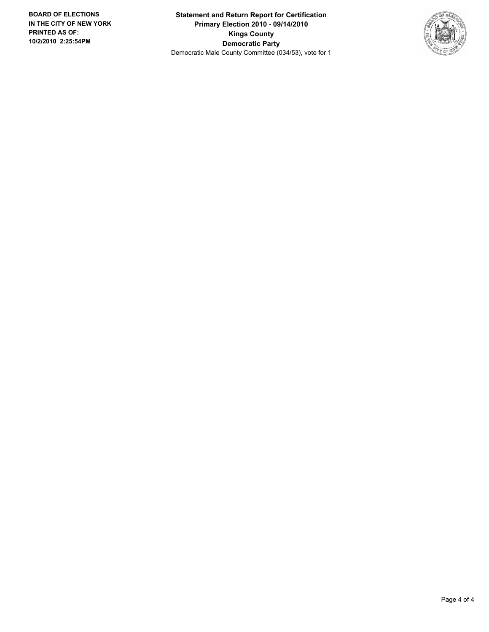**Statement and Return Report for Certification Primary Election 2010 - 09/14/2010 Kings County Democratic Party** Democratic Male County Committee (034/53), vote for 1

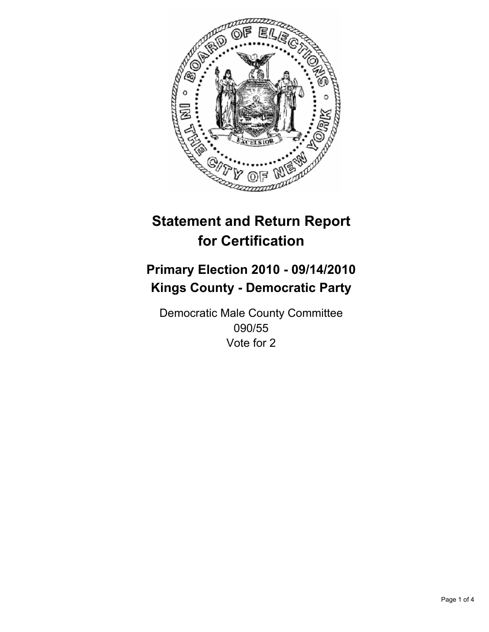

## **Primary Election 2010 - 09/14/2010 Kings County - Democratic Party**

Democratic Male County Committee 090/55 Vote for 2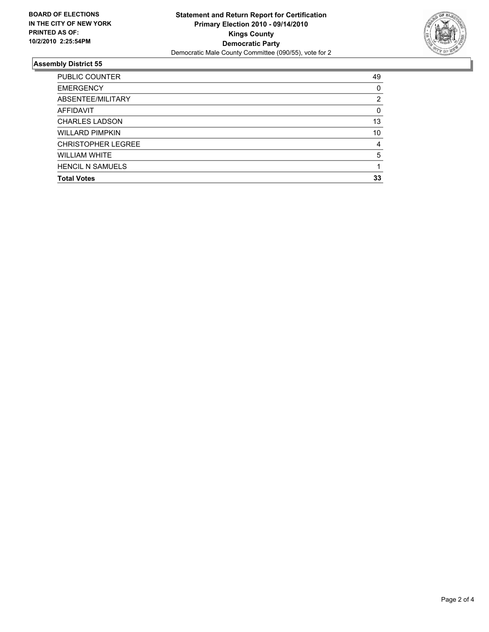

| 49 |
|----|
| 0  |
| 2  |
| 0  |
| 13 |
| 10 |
| 4  |
| 5  |
|    |
| 33 |
|    |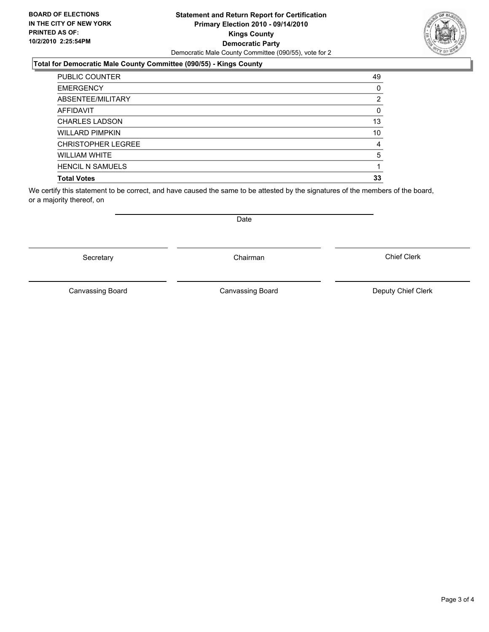#### **Statement and Return Report for Certification Primary Election 2010 - 09/14/2010 Kings County Democratic Party** Democratic Male County Committee (090/55), vote for 2

### **Total for Democratic Male County Committee (090/55) - Kings County**

| <b>PUBLIC COUNTER</b>     | 49             |
|---------------------------|----------------|
| <b>EMERGENCY</b>          | 0              |
| ABSENTEE/MILITARY         | $\overline{2}$ |
| <b>AFFIDAVIT</b>          | 0              |
| <b>CHARLES LADSON</b>     | 13             |
| <b>WILLARD PIMPKIN</b>    | 10             |
| <b>CHRISTOPHER LEGREE</b> | 4              |
| <b>WILLIAM WHITE</b>      | 5              |
| <b>HENCIL N SAMUELS</b>   |                |
| <b>Total Votes</b>        | 33             |

We certify this statement to be correct, and have caused the same to be attested by the signatures of the members of the board, or a majority thereof, on

Canvassing Board **Canvassing Board** Canvassing Board **Deputy Chief Clerk** 

Canvassing Board

Chief Clerk

Secretary **Chairman** 

Date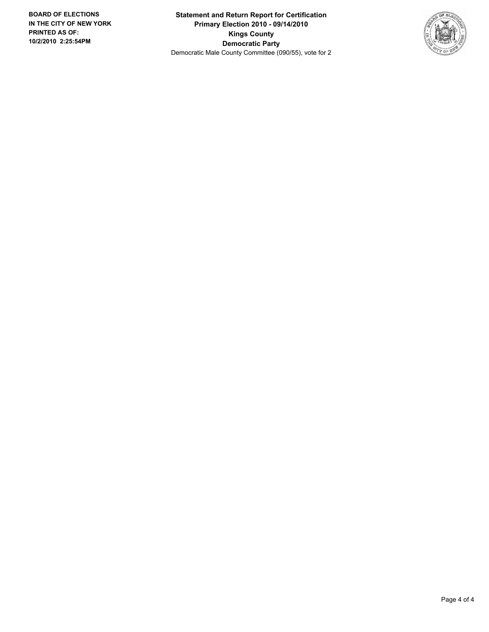**Statement and Return Report for Certification Primary Election 2010 - 09/14/2010 Kings County Democratic Party** Democratic Male County Committee (090/55), vote for 2

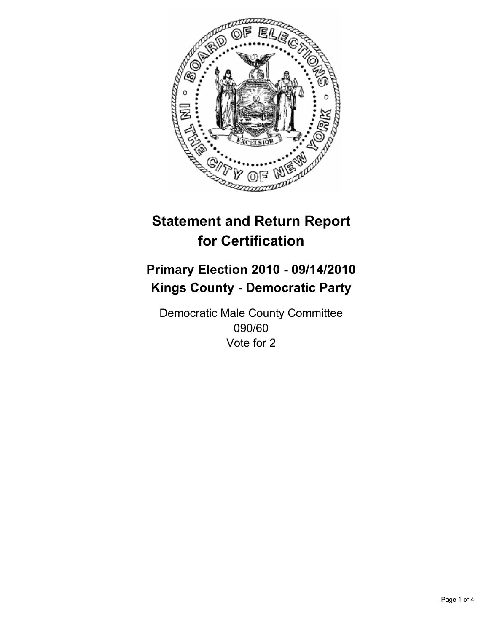

## **Primary Election 2010 - 09/14/2010 Kings County - Democratic Party**

Democratic Male County Committee 090/60 Vote for 2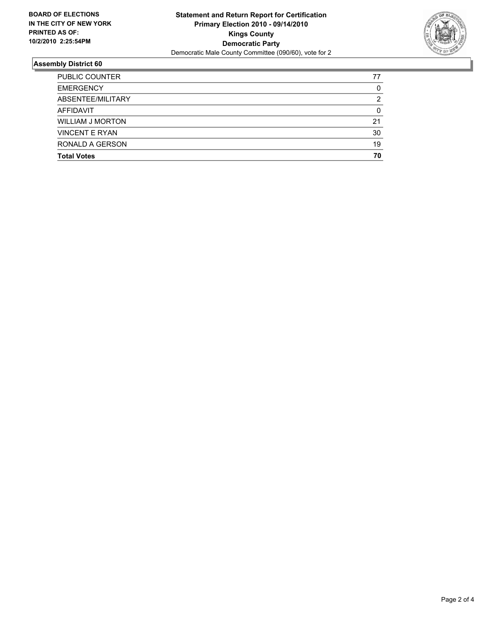

| <b>Total Votes</b>      | 70 |
|-------------------------|----|
| RONALD A GERSON         | 19 |
| <b>VINCENT E RYAN</b>   | 30 |
| <b>WILLIAM J MORTON</b> | 21 |
| AFFIDAVIT               | 0  |
| ABSENTEE/MILITARY       | 2  |
| <b>EMERGENCY</b>        | 0  |
| PUBLIC COUNTER          | 77 |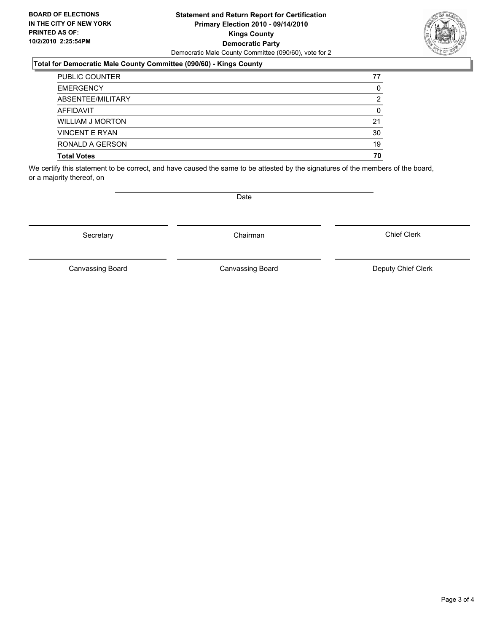#### **Statement and Return Report for Certification Primary Election 2010 - 09/14/2010 Kings County Democratic Party** Democratic Male County Committee (090/60), vote for 2

#### **Total for Democratic Male County Committee (090/60) - Kings County**

| <b>PUBLIC COUNTER</b> | 77 |
|-----------------------|----|
| <b>EMERGENCY</b>      | 0  |
| ABSENTEE/MILITARY     | 2  |
| <b>AFFIDAVIT</b>      | 0  |
| WILLIAM J MORTON      | 21 |
| <b>VINCENT E RYAN</b> | 30 |
| RONALD A GERSON       | 19 |
| <b>Total Votes</b>    | 70 |

We certify this statement to be correct, and have caused the same to be attested by the signatures of the members of the board, or a majority thereof, on

Secretary **Chairman** 

Canvassing Board

**Date** 

Canvassing Board Canvassing Board Canvassing Canvassing Board Deputy Chief Clerk

Chief Clerk



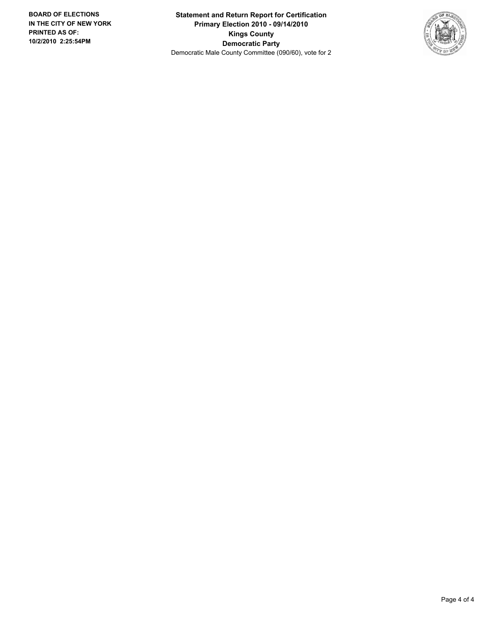**Statement and Return Report for Certification Primary Election 2010 - 09/14/2010 Kings County Democratic Party** Democratic Male County Committee (090/60), vote for 2

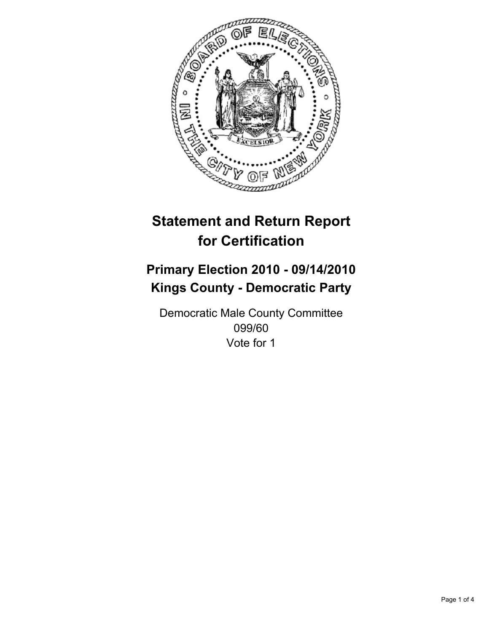

## **Primary Election 2010 - 09/14/2010 Kings County - Democratic Party**

Democratic Male County Committee 099/60 Vote for 1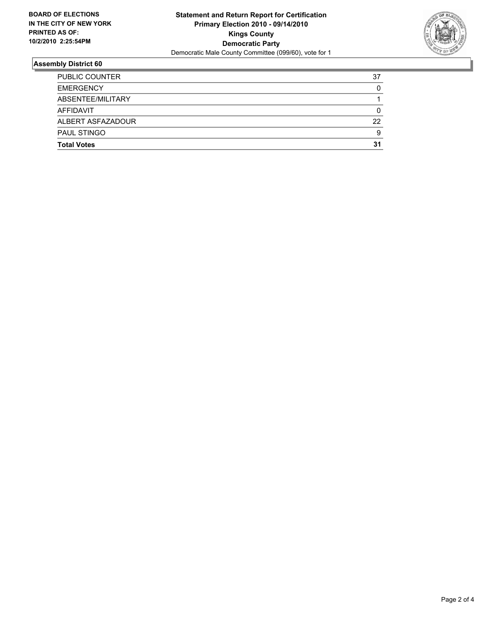

| <b>Total Votes</b>    | 31 |
|-----------------------|----|
| PAUL STINGO           | 9  |
| ALBERT ASFAZADOUR     | 22 |
| AFFIDAVIT             | 0  |
| ABSENTEE/MILITARY     |    |
| <b>EMERGENCY</b>      | 0  |
| <b>PUBLIC COUNTER</b> | 37 |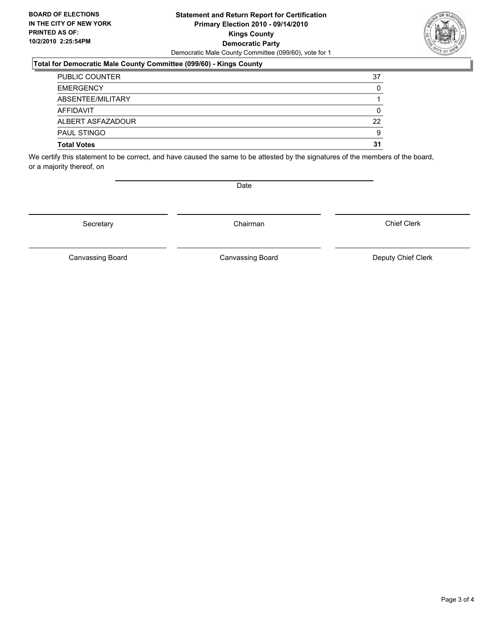#### **Statement and Return Report for Certification Primary Election 2010 - 09/14/2010 Kings County Democratic Party** Democratic Male County Committee (099/60), vote for 1

#### **Total for Democratic Male County Committee (099/60) - Kings County**

| PUBLIC COUNTER     | 37 |
|--------------------|----|
| <b>EMERGENCY</b>   | 0  |
| ABSENTEE/MILITARY  |    |
| AFFIDAVIT          | 0  |
| ALBERT ASFAZADOUR  | 22 |
| PAUL STINGO        | 9  |
| <b>Total Votes</b> | 31 |

We certify this statement to be correct, and have caused the same to be attested by the signatures of the members of the board, or a majority thereof, on

Secretary **Chairman** 

Canvassing Board **Canvassing Board** Canvassing Board **Deputy Chief Clerk** 

Canvassing Board

Chief Clerk

Page 3 of 4



Date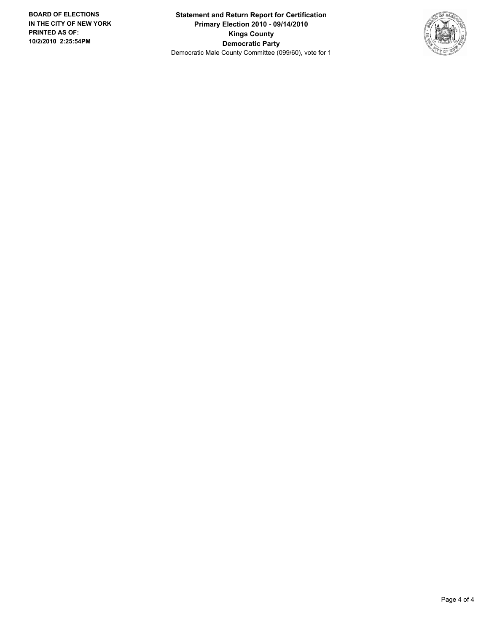**Statement and Return Report for Certification Primary Election 2010 - 09/14/2010 Kings County Democratic Party** Democratic Male County Committee (099/60), vote for 1

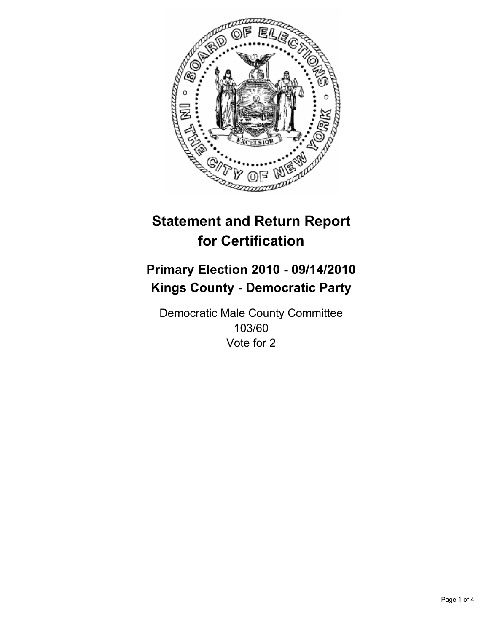

# **Statement and Return Report for Certification**

## **Primary Election 2010 - 09/14/2010 Kings County - Democratic Party**

Democratic Male County Committee 103/60 Vote for 2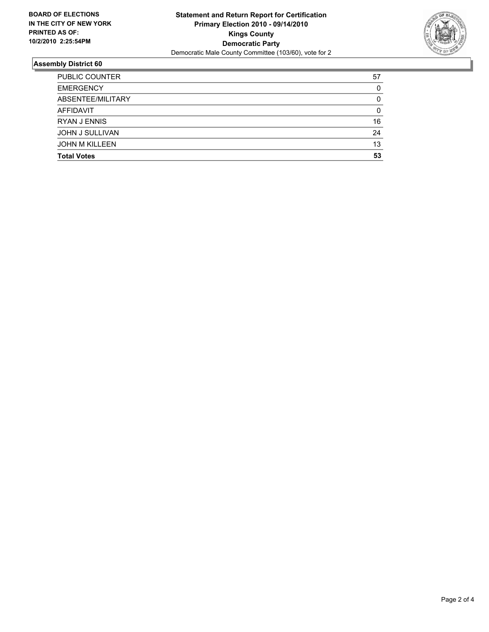

#### **Assembly District 60**

| <b>Total Votes</b>    | 53 |
|-----------------------|----|
|                       |    |
| <b>JOHN M KILLEEN</b> | 13 |
| JOHN J SULLIVAN       | 24 |
| <b>RYAN J ENNIS</b>   | 16 |
| <b>AFFIDAVIT</b>      | 0  |
| ABSENTEE/MILITARY     | 0  |
| <b>EMERGENCY</b>      | 0  |
| <b>PUBLIC COUNTER</b> | 57 |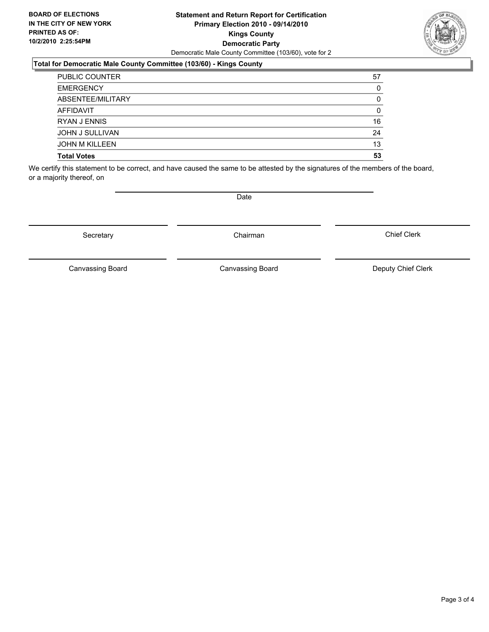#### **Statement and Return Report for Certification Primary Election 2010 - 09/14/2010 Kings County Democratic Party** Democratic Male County Committee (103/60), vote for 2

### **Total for Democratic Male County Committee (103/60) - Kings County**

| <b>PUBLIC COUNTER</b>  | 57 |
|------------------------|----|
| <b>EMERGENCY</b>       | 0  |
| ABSENTEE/MILITARY      | 0  |
| <b>AFFIDAVIT</b>       | 0  |
| <b>RYAN J ENNIS</b>    | 16 |
| <b>JOHN J SULLIVAN</b> | 24 |
| <b>JOHN M KILLEEN</b>  | 13 |
| <b>Total Votes</b>     | 53 |

We certify this statement to be correct, and have caused the same to be attested by the signatures of the members of the board, or a majority thereof, on

Secretary **Chairman** 

Canvassing Board Canvassing Board Canvassing Canvassing Board Deputy Chief Clerk

Chief Clerk

Canvassing Board

Page 3 of 4



**Date**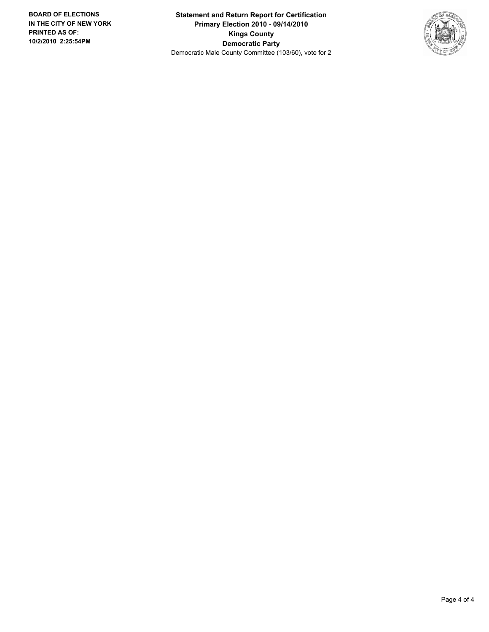**Statement and Return Report for Certification Primary Election 2010 - 09/14/2010 Kings County Democratic Party** Democratic Male County Committee (103/60), vote for 2

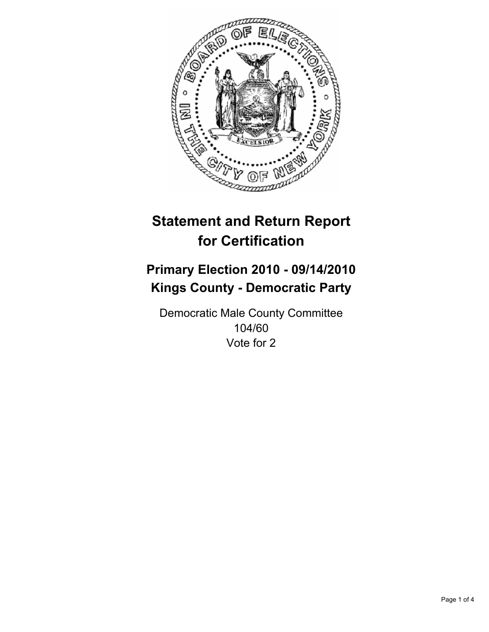

# **Statement and Return Report for Certification**

## **Primary Election 2010 - 09/14/2010 Kings County - Democratic Party**

Democratic Male County Committee 104/60 Vote for 2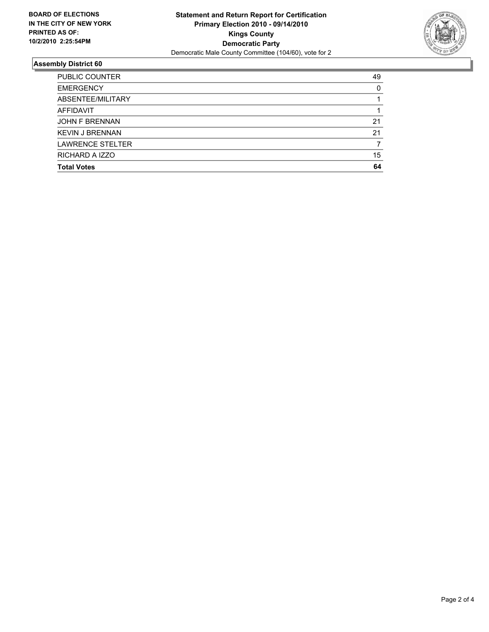

### **Assembly District 60**

| <b>PUBLIC COUNTER</b>   | 49 |
|-------------------------|----|
| <b>EMERGENCY</b>        | 0  |
| ABSENTEE/MILITARY       |    |
| <b>AFFIDAVIT</b>        |    |
| <b>JOHN F BRENNAN</b>   | 21 |
| <b>KEVIN J BRENNAN</b>  | 21 |
| <b>LAWRENCE STELTER</b> |    |
| RICHARD A IZZO          | 15 |
| <b>Total Votes</b>      | 64 |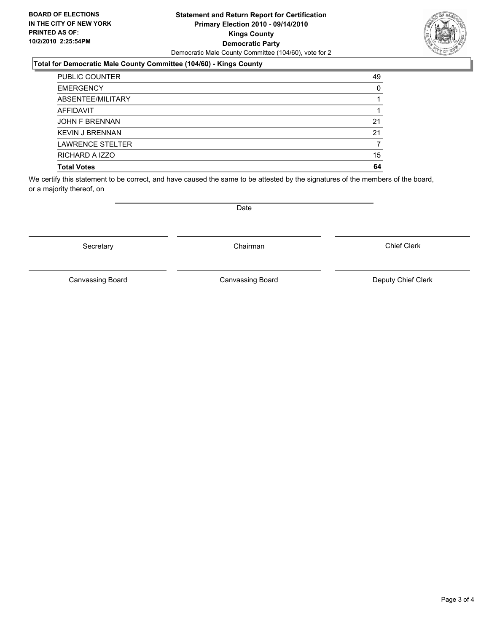#### **Statement and Return Report for Certification Primary Election 2010 - 09/14/2010 Kings County Democratic Party** Democratic Male County Committee (104/60), vote for 2

### **Total for Democratic Male County Committee (104/60) - Kings County**

| <b>PUBLIC COUNTER</b>   | 49 |
|-------------------------|----|
| <b>EMERGENCY</b>        | 0  |
| ABSENTEE/MILITARY       |    |
| <b>AFFIDAVIT</b>        |    |
| <b>JOHN F BRENNAN</b>   | 21 |
| <b>KEVIN J BRENNAN</b>  | 21 |
| <b>LAWRENCE STELTER</b> |    |
| RICHARD A IZZO          | 15 |
| <b>Total Votes</b>      | 64 |

We certify this statement to be correct, and have caused the same to be attested by the signatures of the members of the board, or a majority thereof, on

Secretary **Chairman** 

Canvassing Board

Canvassing Board **Canvassing Board** Canvassing Board **Deputy Chief Clerk** 

Chief Clerk

Date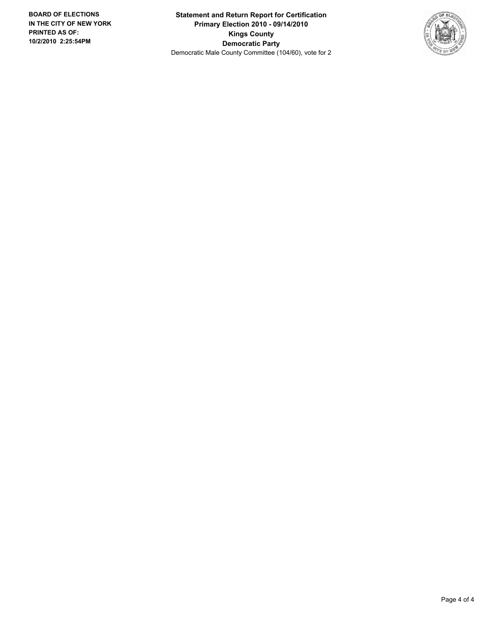**Statement and Return Report for Certification Primary Election 2010 - 09/14/2010 Kings County Democratic Party** Democratic Male County Committee (104/60), vote for 2

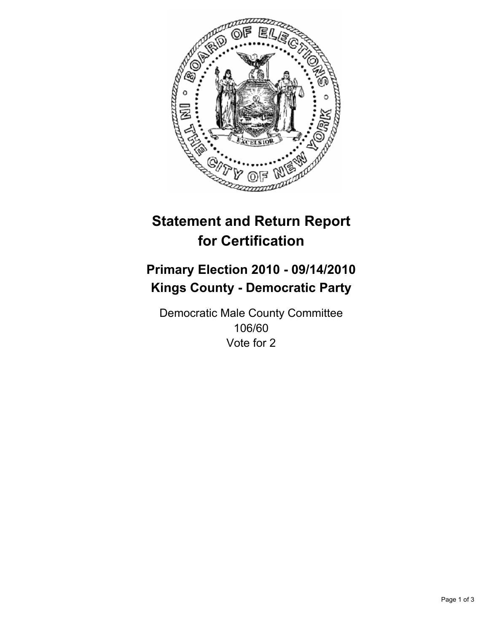

# **Statement and Return Report for Certification**

## **Primary Election 2010 - 09/14/2010 Kings County - Democratic Party**

Democratic Male County Committee 106/60 Vote for 2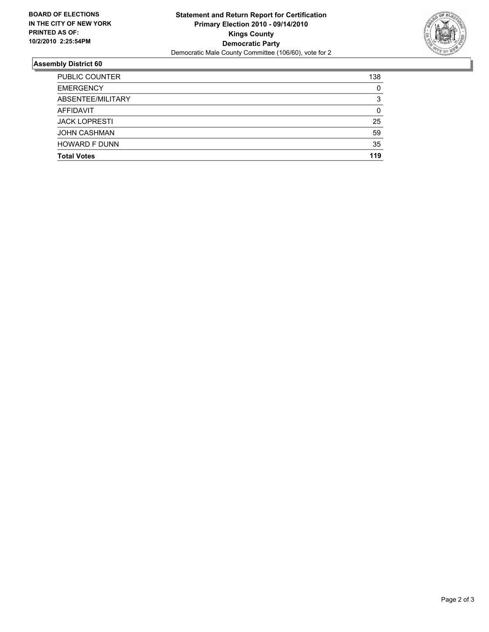

### **Assembly District 60**

| 59<br>35<br>119 |
|-----------------|
|                 |
|                 |
|                 |
| 25              |
| 0               |
| 3               |
| 0               |
| 138             |
|                 |